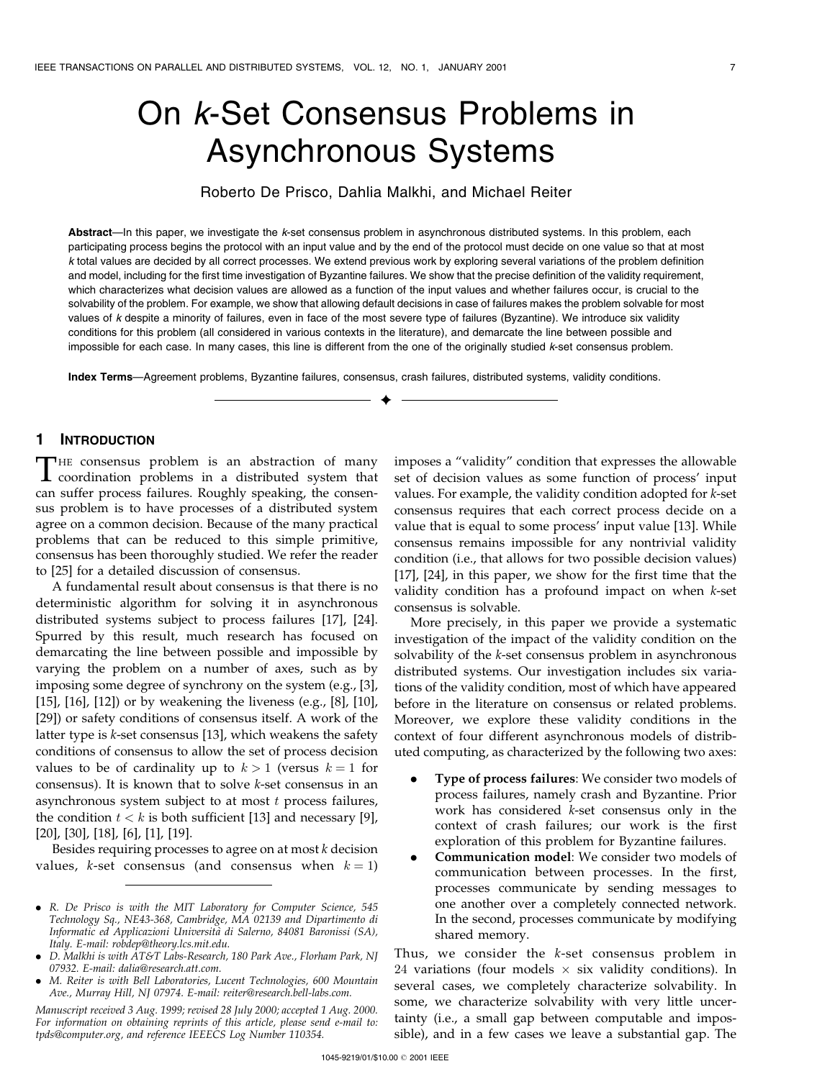# On k-Set Consensus Problems in Asynchronous Systems

Roberto De Prisco, Dahlia Malkhi, and Michael Reiter

Abstract—In this paper, we investigate the k-set consensus problem in asynchronous distributed systems. In this problem, each participating process begins the protocol with an input value and by the end of the protocol must decide on one value so that at most k total values are decided by all correct processes. We extend previous work by exploring several variations of the problem definition and model, including for the first time investigation of Byzantine failures. We show that the precise definition of the validity requirement, which characterizes what decision values are allowed as a function of the input values and whether failures occur, is crucial to the solvability of the problem. For example, we show that allowing default decisions in case of failures makes the problem solvable for most values of k despite a minority of failures, even in face of the most severe type of failures (Byzantine). We introduce six validity conditions for this problem (all considered in various contexts in the literature), and demarcate the line between possible and impossible for each case. In many cases, this line is different from the one of the originally studied k-set consensus problem.

æ

Index Terms—Agreement problems, Byzantine failures, consensus, crash failures, distributed systems, validity conditions.

## 1 INTRODUCTION

THE consensus problem is an abstraction of many<br>coordination problems in a distributed system that can suffer process failures. Roughly speaking, the consensus problem is to have processes of a distributed system agree on a common decision. Because of the many practical problems that can be reduced to this simple primitive, consensus has been thoroughly studied. We refer the reader to [25] for a detailed discussion of consensus.

A fundamental result about consensus is that there is no deterministic algorithm for solving it in asynchronous distributed systems subject to process failures [17], [24]. Spurred by this result, much research has focused on demarcating the line between possible and impossible by varying the problem on a number of axes, such as by imposing some degree of synchrony on the system (e.g., [3], [15], [16], [12]) or by weakening the liveness (e.g., [8], [10], [29]) or safety conditions of consensus itself. A work of the latter type is k-set consensus [13], which weakens the safety conditions of consensus to allow the set of process decision values to be of cardinality up to  $k > 1$  (versus  $k = 1$  for consensus). It is known that to solve k-set consensus in an asynchronous system subject to at most  $t$  process failures, the condition  $t < k$  is both sufficient [13] and necessary [9], [20], [30], [18], [6], [1], [19].

Besides requiring processes to agree on at most k decision values, k-set consensus (and consensus when  $k = 1$ ) imposes a "validity" condition that expresses the allowable set of decision values as some function of process' input values. For example, the validity condition adopted for k-set consensus requires that each correct process decide on a value that is equal to some process' input value [13]. While consensus remains impossible for any nontrivial validity condition (i.e., that allows for two possible decision values) [17], [24], in this paper, we show for the first time that the validity condition has a profound impact on when k-set consensus is solvable.

More precisely, in this paper we provide a systematic investigation of the impact of the validity condition on the solvability of the k-set consensus problem in asynchronous distributed systems. Our investigation includes six variations of the validity condition, most of which have appeared before in the literature on consensus or related problems. Moreover, we explore these validity conditions in the context of four different asynchronous models of distributed computing, as characterized by the following two axes:

- . Type of process failures: We consider two models of process failures, namely crash and Byzantine. Prior work has considered k-set consensus only in the context of crash failures; our work is the first exploration of this problem for Byzantine failures.
- . Communication model: We consider two models of communication between processes. In the first, processes communicate by sending messages to one another over a completely connected network. In the second, processes communicate by modifying shared memory.

Thus, we consider the k-set consensus problem in  $24$  variations (four models  $\times$  six validity conditions). In several cases, we completely characterize solvability. In some, we characterize solvability with very little uncertainty (i.e., a small gap between computable and impossible), and in a few cases we leave a substantial gap. The

<sup>.</sup> R. De Prisco is with the MIT Laboratory for Computer Science, 545 Technology Sq., NE43-368, Cambridge, MA 02139 and Dipartimento di Informatic ed Applicazioni Università di Salerno, 84081 Baronissi (SA), Italy. E-mail: robdep@theory.lcs.mit.edu.

<sup>.</sup> D. Malkhi is with AT&T Labs-Research, 180 Park Ave., Florham Park, NJ 07932. E-mail: dalia@research.att.com.

<sup>.</sup> M. Reiter is with Bell Laboratories, Lucent Technologies, 600 Mountain Ave., Murray Hill, NJ 07974. E-mail: reiter@research.bell-labs.com.

Manuscript received 3 Aug. 1999; revised 28 July 2000; accepted 1 Aug. 2000. For information on obtaining reprints of this article, please send e-mail to: tpds@computer.org, and reference IEEECS Log Number 110354.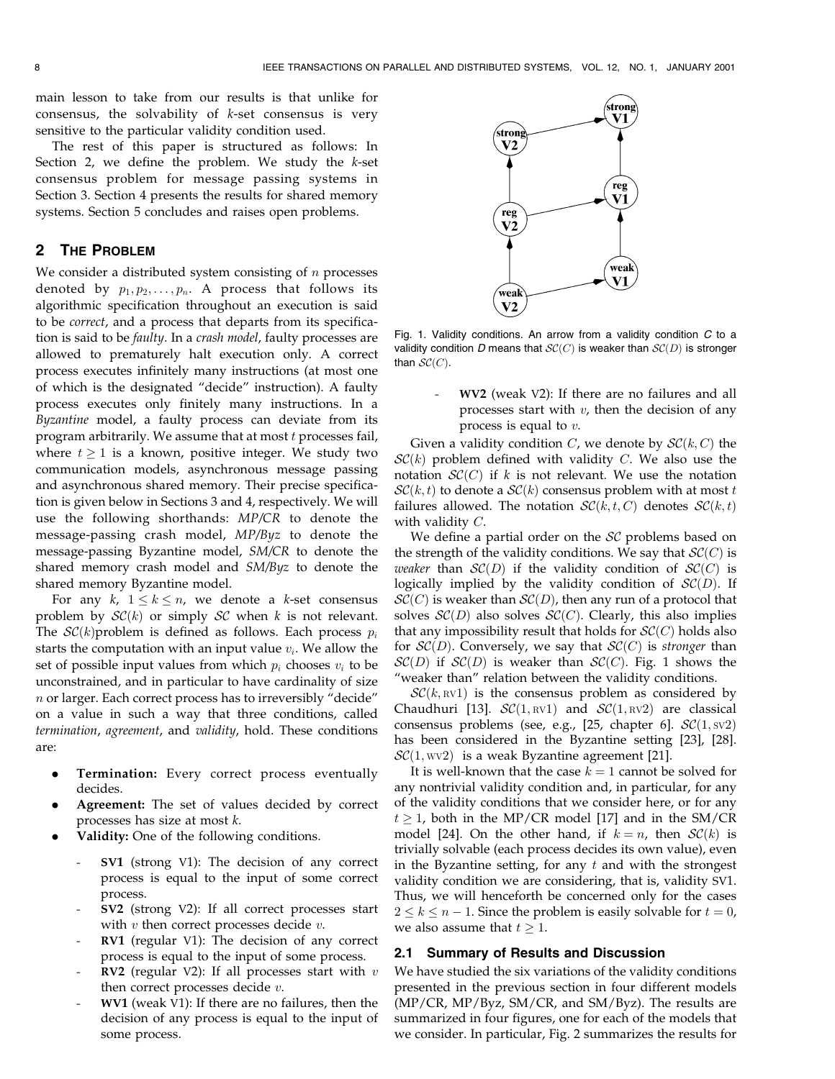main lesson to take from our results is that unlike for consensus, the solvability of k-set consensus is very sensitive to the particular validity condition used.

The rest of this paper is structured as follows: In Section 2, we define the problem. We study the k-set consensus problem for message passing systems in Section 3. Section 4 presents the results for shared memory systems. Section 5 concludes and raises open problems.

# 2 THE PROBLEM

We consider a distributed system consisting of  $n$  processes denoted by  $p_1, p_2, \ldots, p_n$ . A process that follows its algorithmic specification throughout an execution is said to be correct, and a process that departs from its specification is said to be faulty. In a crash model, faulty processes are allowed to prematurely halt execution only. A correct process executes infinitely many instructions (at most one of which is the designated "decide" instruction). A faulty process executes only finitely many instructions. In a Byzantine model, a faulty process can deviate from its program arbitrarily. We assume that at most  $t$  processes fail, where  $t \geq 1$  is a known, positive integer. We study two communication models, asynchronous message passing and asynchronous shared memory. Their precise specification is given below in Sections 3 and 4, respectively. We will use the following shorthands: MP/CR to denote the message-passing crash model, MP/Byz to denote the message-passing Byzantine model, SM/CR to denote the shared memory crash model and SM/Byz to denote the shared memory Byzantine model.

For any  $k$ ,  $1 \le k \le n$ , we denote a k-set consensus problem by  $\mathcal{SC}(k)$  or simply  $\mathcal{SC}$  when k is not relevant. The  $SC(k)$  problem is defined as follows. Each process  $p_i$ starts the computation with an input value  $v_i$ . We allow the set of possible input values from which  $p_i$  chooses  $v_i$  to be unconstrained, and in particular to have cardinality of size  $n$  or larger. Each correct process has to irreversibly "decide" on a value in such a way that three conditions, called termination, agreement, and validity, hold. These conditions are:

- Termination: Every correct process eventually decides.
- Agreement: The set of values decided by correct processes has size at most k.
- . Validity: One of the following conditions.
	- SV1 (strong V1): The decision of any correct process is equal to the input of some correct process.
	- SV2 (strong V2): If all correct processes start with  $v$  then correct processes decide  $v$ .
	- RV1 (regular V1): The decision of any correct process is equal to the input of some process.
	- RV2 (regular V2): If all processes start with  $v$ then correct processes decide v.
	- WV1 (weak V1): If there are no failures, then the decision of any process is equal to the input of some process.



Fig. 1. Validity conditions. An arrow from a validity condition  $C$  to a validity condition D means that  $SC(C)$  is weaker than  $SC(D)$  is stronger than  $\mathcal{SC}(C)$ .

WV2 (weak V2): If there are no failures and all processes start with  $v$ , then the decision of any process is equal to v.

Given a validity condition C, we denote by  $\mathcal{SC}(k, C)$  the  $\mathcal{SC}(k)$  problem defined with validity C. We also use the notation  $SC(C)$  if k is not relevant. We use the notation  $\mathcal{SC}(k, t)$  to denote a  $\mathcal{SC}(k)$  consensus problem with at most t failures allowed. The notation  $\mathcal{SC}(k, t, C)$  denotes  $\mathcal{SC}(k, t)$ with validity C.

We define a partial order on the  $SC$  problems based on the strength of the validity conditions. We say that  $\mathcal{SC}(C)$  is weaker than  $\mathcal{SC}(D)$  if the validity condition of  $\mathcal{SC}(C)$  is logically implied by the validity condition of  $\mathcal{SC}(D)$ . If  $\mathcal{SC}(C)$  is weaker than  $\mathcal{SC}(D)$ , then any run of a protocol that solves  $\mathcal{SC}(D)$  also solves  $\mathcal{SC}(C)$ . Clearly, this also implies that any impossibility result that holds for  $\mathcal{SC}(C)$  holds also for  $\mathcal{SC}(D)$ . Conversely, we say that  $\mathcal{SC}(C)$  is stronger than  $\mathcal{SC}(D)$  if  $\mathcal{SC}(D)$  is weaker than  $\mathcal{SC}(C)$ . Fig. 1 shows the "weaker than" relation between the validity conditions.

 $\mathcal{SC}(k,\text{RV1})$  is the consensus problem as considered by Chaudhuri [13].  $\mathcal{SC}(1,\text{RV1})$  and  $\mathcal{SC}(1,\text{RV2})$  are classical consensus problems (see, e.g., [25, chapter 6].  $\mathcal{SC}(1, \text{sv2})$ has been considered in the Byzantine setting [23], [28].  $\mathcal{SC}(1, \text{wV2})$  is a weak Byzantine agreement [21].

It is well-known that the case  $k = 1$  cannot be solved for any nontrivial validity condition and, in particular, for any of the validity conditions that we consider here, or for any  $t \geq 1$ , both in the MP/CR model [17] and in the SM/CR model [24]. On the other hand, if  $k = n$ , then  $\mathcal{SC}(k)$  is trivially solvable (each process decides its own value), even in the Byzantine setting, for any  $t$  and with the strongest validity condition we are considering, that is, validity SV1. Thus, we will henceforth be concerned only for the cases  $2 \le k \le n - 1$ . Since the problem is easily solvable for  $t = 0$ , we also assume that  $t \geq 1$ .

# 2.1 Summary of Results and Discussion

We have studied the six variations of the validity conditions presented in the previous section in four different models (MP/CR, MP/Byz, SM/CR, and SM/Byz). The results are summarized in four figures, one for each of the models that we consider. In particular, Fig. 2 summarizes the results for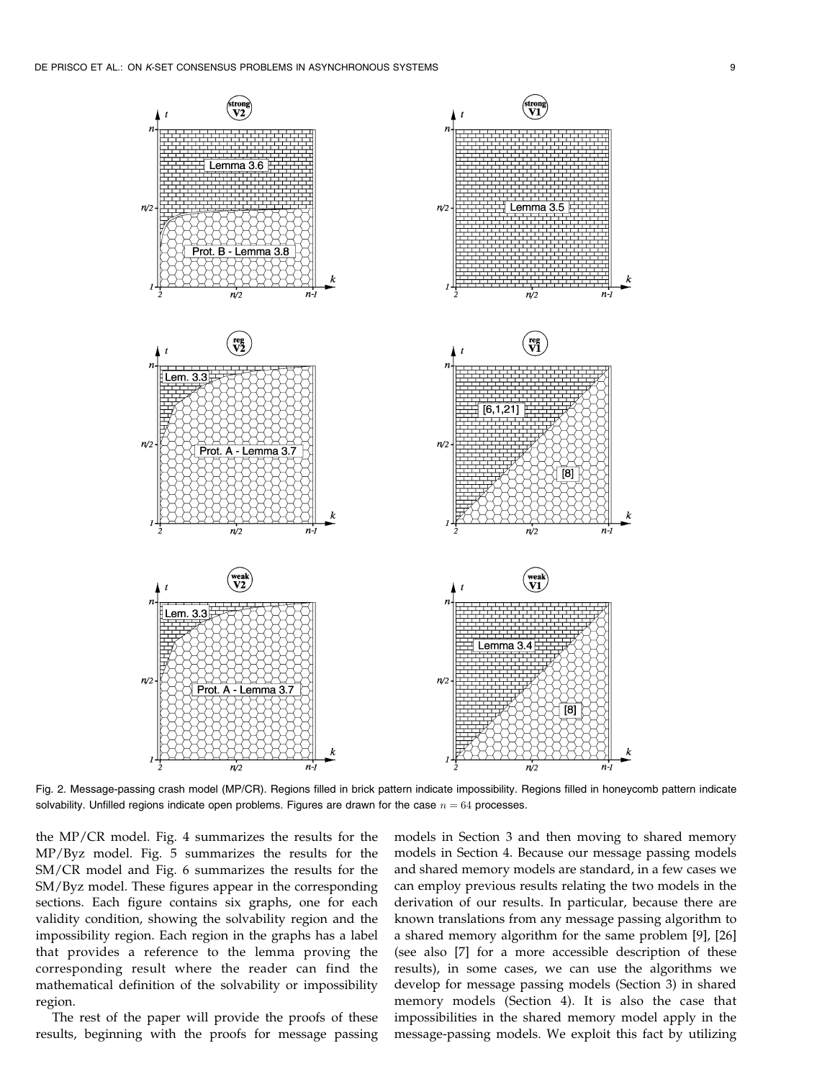

Fig. 2. Message-passing crash model (MP/CR). Regions filled in brick pattern indicate impossibility. Regions filled in honeycomb pattern indicate solvability. Unfilled regions indicate open problems. Figures are drawn for the case  $n = 64$  processes.

the MP/CR model. Fig. 4 summarizes the results for the MP/Byz model. Fig. 5 summarizes the results for the SM/CR model and Fig. 6 summarizes the results for the SM/Byz model. These figures appear in the corresponding sections. Each figure contains six graphs, one for each validity condition, showing the solvability region and the impossibility region. Each region in the graphs has a label that provides a reference to the lemma proving the corresponding result where the reader can find the mathematical definition of the solvability or impossibility region.

The rest of the paper will provide the proofs of these results, beginning with the proofs for message passing models in Section 3 and then moving to shared memory models in Section 4. Because our message passing models and shared memory models are standard, in a few cases we can employ previous results relating the two models in the derivation of our results. In particular, because there are known translations from any message passing algorithm to a shared memory algorithm for the same problem [9], [26] (see also [7] for a more accessible description of these results), in some cases, we can use the algorithms we develop for message passing models (Section 3) in shared memory models (Section 4). It is also the case that impossibilities in the shared memory model apply in the message-passing models. We exploit this fact by utilizing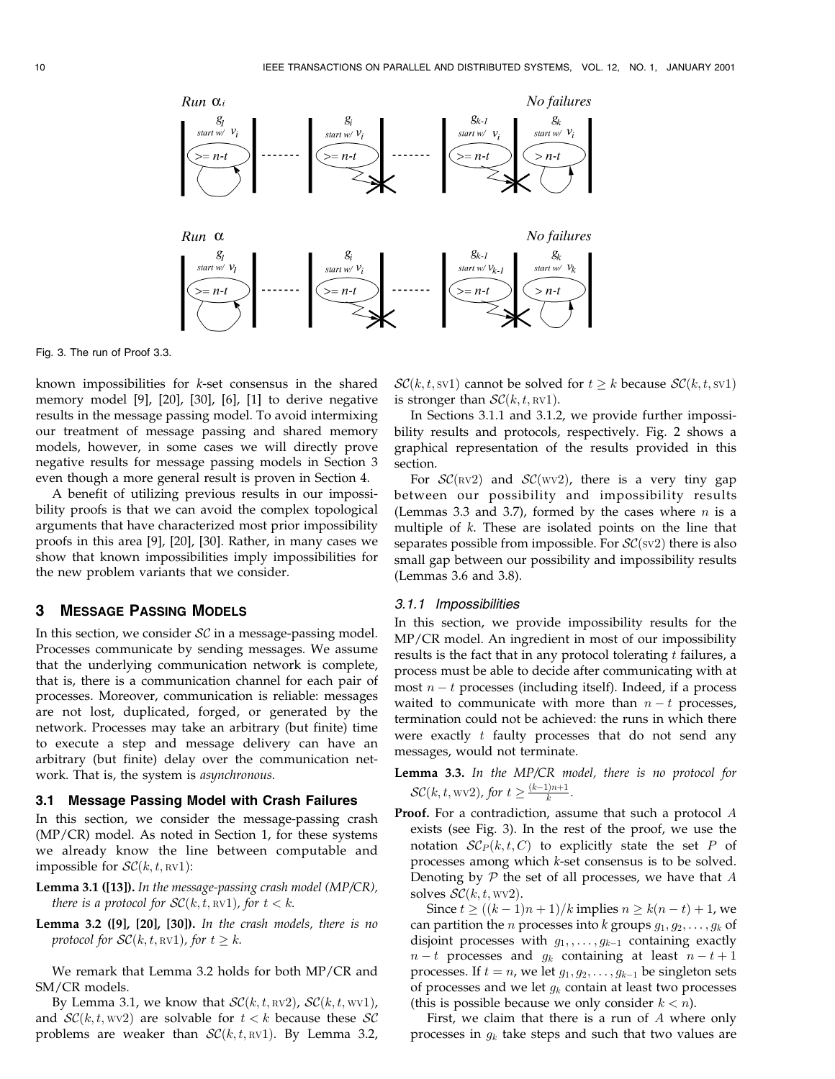

Fig. 3. The run of Proof 3.3.

known impossibilities for k-set consensus in the shared memory model [9], [20], [30], [6], [1] to derive negative results in the message passing model. To avoid intermixing our treatment of message passing and shared memory models, however, in some cases we will directly prove negative results for message passing models in Section 3 even though a more general result is proven in Section 4.

A benefit of utilizing previous results in our impossibility proofs is that we can avoid the complex topological arguments that have characterized most prior impossibility proofs in this area [9], [20], [30]. Rather, in many cases we show that known impossibilities imply impossibilities for the new problem variants that we consider.

## 3 MESSAGE PASSING MODELS

In this section, we consider  $SC$  in a message-passing model. Processes communicate by sending messages. We assume that the underlying communication network is complete, that is, there is a communication channel for each pair of processes. Moreover, communication is reliable: messages are not lost, duplicated, forged, or generated by the network. Processes may take an arbitrary (but finite) time to execute a step and message delivery can have an arbitrary (but finite) delay over the communication network. That is, the system is asynchronous.

## 3.1 Message Passing Model with Crash Failures

In this section, we consider the message-passing crash (MP/CR) model. As noted in Section 1, for these systems we already know the line between computable and impossible for  $\mathcal{SC}(k, t, \text{RVI})$ :

- **Lemma 3.1 ([13]).** In the message-passing crash model (MP/CR), there is a protocol for  $\mathcal{SC}(k, t, \text{RV1})$ , for  $t < k$ .
- Lemma 3.2 ([9], [20], [30]). In the crash models, there is no protocol for  $\mathcal{SC}(k, t, \text{RV1})$ , for  $t \geq k$ .

We remark that Lemma 3.2 holds for both MP/CR and SM/CR models.

By Lemma 3.1, we know that  $\mathcal{SC}(k, t, RV2)$ ,  $\mathcal{SC}(k, t, W1)$ , and  $\mathcal{SC}(k, t, wv2)$  are solvable for  $t < k$  because these  $\mathcal{SC}$ problems are weaker than  $\mathcal{SC}(k, t, \text{RV1})$ . By Lemma 3.2,

 $\mathcal{SC}(k, t, \text{sv1})$  cannot be solved for  $t \geq k$  because  $\mathcal{SC}(k, t, \text{sv1})$ is stronger than  $\mathcal{SC}(k, t, \text{RV1})$ .

In Sections 3.1.1 and 3.1.2, we provide further impossibility results and protocols, respectively. Fig. 2 shows a graphical representation of the results provided in this section.

For  $\mathcal{SC}(\text{RV2})$  and  $\mathcal{SC}(\text{WV2})$ , there is a very tiny gap between our possibility and impossibility results (Lemmas 3.3 and 3.7), formed by the cases where  $n$  is a multiple of k. These are isolated points on the line that separates possible from impossible. For  $\mathcal{SC}(\text{sv2})$  there is also small gap between our possibility and impossibility results (Lemmas 3.6 and 3.8).

#### 3.1.1 Impossibilities

In this section, we provide impossibility results for the MP/CR model. An ingredient in most of our impossibility results is the fact that in any protocol tolerating  $t$  failures, a process must be able to decide after communicating with at most  $n - t$  processes (including itself). Indeed, if a process waited to communicate with more than  $n - t$  processes, termination could not be achieved: the runs in which there were exactly  $t$  faulty processes that do not send any messages, would not terminate.

Lemma 3.3. In the MP/CR model, there is no protocol for  $\mathcal{SC}(k, t, \text{wv2})$ , for  $t \geq \frac{(k-1)n+1}{k}$ .

Proof. For a contradiction, assume that such a protocol A exists (see Fig. 3). In the rest of the proof, we use the notation  $\mathcal{SC}_P(k, t, C)$  to explicitly state the set P of processes among which k-set consensus is to be solved. Denoting by  $P$  the set of all processes, we have that  $A$ solves  $\mathcal{SC}(k, t, wv2)$ .

Since  $t \ge ((k - 1)n + 1)/k$  implies  $n \ge k(n - t) + 1$ , we can partition the *n* processes into *k* groups  $g_1, g_2, \ldots, g_k$  of disjoint processes with  $g_1, \ldots, g_{k-1}$  containing exactly  $n - t$  processes and  $g_k$  containing at least  $n - t + 1$ processes. If  $t = n$ , we let  $g_1, g_2, \ldots, g_{k-1}$  be singleton sets of processes and we let  $g_k$  contain at least two processes (this is possible because we only consider  $k < n$ ).

First, we claim that there is a run of  $A$  where only processes in  $g_k$  take steps and such that two values are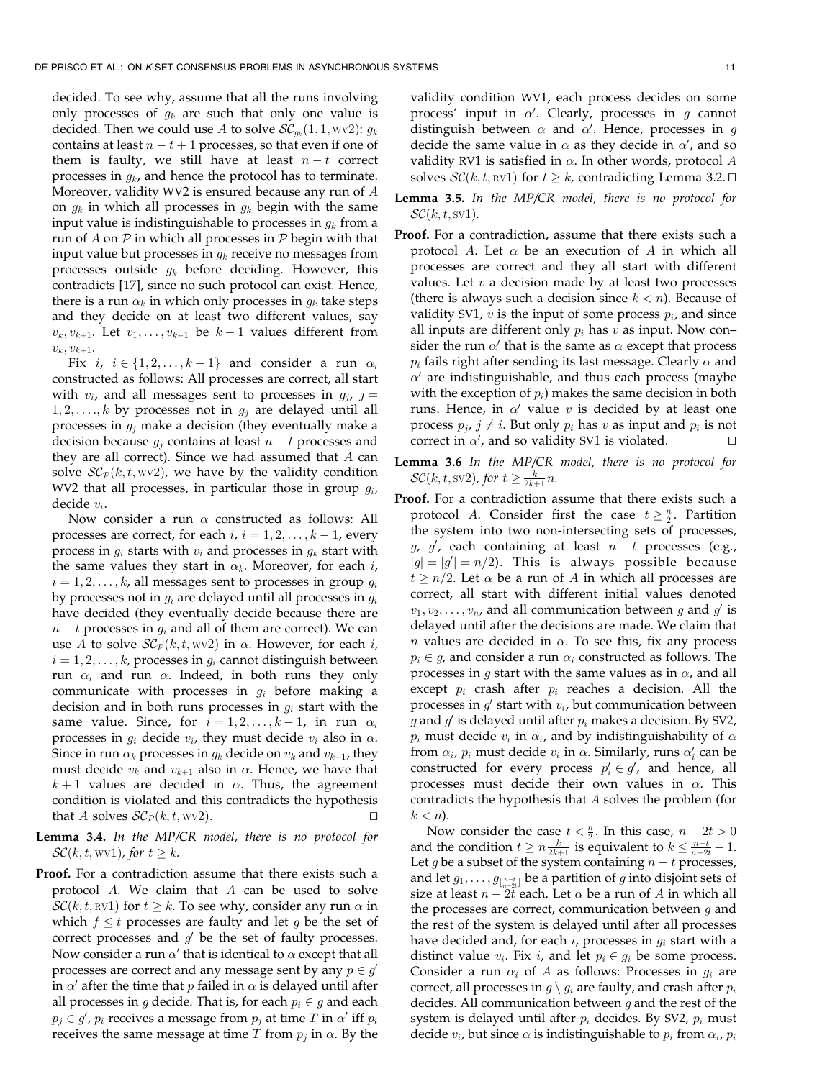decided. To see why, assume that all the runs involving only processes of  $g_k$  are such that only one value is decided. Then we could use A to solve  $\mathcal{SC}_{q_k}(1, 1, \text{wV2})$ :  $g_k$ contains at least  $n - t + 1$  processes, so that even if one of them is faulty, we still have at least  $n - t$  correct processes in  $q_k$ , and hence the protocol has to terminate. Moreover, validity WV2 is ensured because any run of A on  $g_k$  in which all processes in  $g_k$  begin with the same input value is indistinguishable to processes in  $g_k$  from a run of  $A$  on  $P$  in which all processes in  $P$  begin with that input value but processes in  $g_k$  receive no messages from processes outside  $g_k$  before deciding. However, this contradicts [17], since no such protocol can exist. Hence, there is a run  $\alpha_k$  in which only processes in  $g_k$  take steps and they decide on at least two different values, say  $v_k, v_{k+1}$ . Let  $v_1, \ldots, v_{k-1}$  be  $k-1$  values different from  $v_k, v_{k+1}.$ 

Fix *i*,  $i \in \{1, 2, ..., k-1\}$  and consider a run  $\alpha_i$ constructed as follows: All processes are correct, all start with  $v_i$ , and all messages sent to processes in  $g_i$ , j =  $1, 2, \ldots, k$  by processes not in  $g_i$  are delayed until all processes in  $g_i$  make a decision (they eventually make a decision because  $g_i$  contains at least  $n - t$  processes and they are all correct). Since we had assumed that  $A$  can solve  $\mathcal{SC}_{\mathcal{P}}(k, t, wv2)$ , we have by the validity condition WV2 that all processes, in particular those in group  $g_i$ , decide vi.

Now consider a run  $\alpha$  constructed as follows: All processes are correct, for each  $i, i = 1, 2, \ldots, k - 1$ , every process in  $g_i$  starts with  $v_i$  and processes in  $g_k$  start with the same values they start in  $\alpha_k$ . Moreover, for each *i*,  $i = 1, 2, \ldots, k$ , all messages sent to processes in group  $g_i$ by processes not in  $g_i$  are delayed until all processes in  $g_i$ have decided (they eventually decide because there are  $n - t$  processes in  $q_i$  and all of them are correct). We can use A to solve  $\mathcal{SC}_{\mathcal{P}}(k, t, wv2)$  in  $\alpha$ . However, for each *i*,  $i = 1, 2, \ldots, k$ , processes in  $g_i$  cannot distinguish between run  $\alpha_i$  and run  $\alpha$ . Indeed, in both runs they only communicate with processes in  $g_i$  before making a decision and in both runs processes in  $g_i$  start with the same value. Since, for  $i = 1, 2, \ldots, k - 1$ , in run  $\alpha_i$ processes in  $g_i$  decide  $v_i$ , they must decide  $v_i$  also in  $\alpha$ . Since in run  $\alpha_k$  processes in  $g_k$  decide on  $v_k$  and  $v_{k+1}$ , they must decide  $v_k$  and  $v_{k+1}$  also in  $\alpha$ . Hence, we have that  $k+1$  values are decided in  $\alpha$ . Thus, the agreement condition is violated and this contradicts the hypothesis that A solves  $\mathcal{SC}_{\mathcal{P}}(k, t, wv2)$ .

- Lemma 3.4. In the MP/CR model, there is no protocol for  $\mathcal{SC}(k, t, \text{wvl})$ , for  $t \geq k$ .
- Proof. For a contradiction assume that there exists such a protocol A. We claim that A can be used to solve  $\mathcal{SC}(k, t, \text{RVI})$  for  $t \geq k$ . To see why, consider any run  $\alpha$  in which  $f \leq t$  processes are faulty and let g be the set of correct processes and  $g'$  be the set of faulty processes. Now consider a run  $\alpha'$  that is identical to  $\alpha$  except that all processes are correct and any message sent by any  $p \in q'$ in  $\alpha'$  after the time that p failed in  $\alpha$  is delayed until after all processes in g decide. That is, for each  $p_i \in g$  and each  $p_j \in \mathcal{G}$ ,  $p_i$  receives a message from  $p_j$  at time  $T$  in  $\alpha'$  iff  $p_i$ receives the same message at time  $T$  from  $p_j$  in  $\alpha$ . By the

validity condition WV1, each process decides on some process' input in  $\alpha'$ . Clearly, processes in g cannot distinguish between  $\alpha$  and  $\alpha'$ . Hence, processes in g decide the same value in  $\alpha$  as they decide in  $\alpha'$ , and so validity RV1 is satisfied in  $\alpha$ . In other words, protocol A solves  $\mathcal{SC}(k, t, \text{RV1})$  for  $t \geq k$ , contradicting Lemma 3.2.  $\Box$ 

- Lemma 3.5. In the MP/CR model, there is no protocol for  $\mathcal{SC}(k, t, sv1)$ .
- Proof. For a contradiction, assume that there exists such a protocol A. Let  $\alpha$  be an execution of A in which all processes are correct and they all start with different values. Let  $v$  a decision made by at least two processes (there is always such a decision since  $k < n$ ). Because of validity SV1,  $v$  is the input of some process  $p_i$ , and since all inputs are different only  $p_i$  has  $v$  as input. Now consider the run  $\alpha'$  that is the same as  $\alpha$  except that process  $p_i$  fails right after sending its last message. Clearly  $\alpha$  and  $\alpha'$  are indistinguishable, and thus each process (maybe with the exception of  $p_i$ ) makes the same decision in both runs. Hence, in  $\alpha'$  value v is decided by at least one process  $p_j$ ,  $j \neq i$ . But only  $p_i$  has v as input and  $p_i$  is not correct in  $\alpha'$ , and so validity SV1 is violated.
- Lemma 3.6 In the MP/CR model, there is no protocol for  $\mathcal{SC}(k, t, \mathrm{sv2})$ , for  $t \geq \frac{k}{2k+1}n$ .
- Proof. For a contradiction assume that there exists such a protocol *A*. Consider first the case  $t \geq \frac{n}{2}$ . Partition the system into two non-intersecting sets of processes, g, g', each containing at least  $n-t$  processes (e.g.,  $|g| = |g'| = n/2$ ). This is always possible because  $t \geq n/2$ . Let  $\alpha$  be a run of A in which all processes are correct, all start with different initial values denoted  $v_1, v_2, \ldots, v_n$ , and all communication between g and g' is delayed until after the decisions are made. We claim that *n* values are decided in  $\alpha$ . To see this, fix any process  $p_i \in g$ , and consider a run  $\alpha_i$  constructed as follows. The processes in  $g$  start with the same values as in  $\alpha$ , and all except  $p_i$  crash after  $p_i$  reaches a decision. All the processes in  $g'$  start with  $v_i$ , but communication between g and  $g'$  is delayed until after  $p_i$  makes a decision. By SV2,  $p_i$  must decide  $v_i$  in  $\alpha_i$ , and by indistinguishability of  $\alpha$ from  $\alpha_i$ ,  $p_i$  must decide  $v_i$  in  $\alpha$ . Similarly, runs  $\alpha'_i$  can be constructed for every process  $p'_i \in g'$ , and hence, all processes must decide their own values in  $\alpha$ . This contradicts the hypothesis that A solves the problem (for  $k < n$ ).

Now consider the case  $t < \frac{n}{2}$ . In this case,  $n - 2t > 0$ and the condition  $t \ge n \frac{k}{2k+1}$  is equivalent to  $k \le \frac{n-t}{n-2t} - 1$ . Let g be a subset of the system containing  $n - t$  processes, and let  $g_1, \ldots, g_{\lfloor \frac{n-t}{n-2t} \rfloor}$  be a partition of g into disjoint sets of size at least  $n - 2t$  each. Let  $\alpha$  be a run of A in which all the processes are correct, communication between  $q$  and the rest of the system is delayed until after all processes have decided and, for each  $i$ , processes in  $g_i$  start with a distinct value  $v_i$ . Fix *i*, and let  $p_i \in g_i$  be some process. Consider a run  $\alpha_i$  of A as follows: Processes in  $g_i$  are correct, all processes in  $g \setminus g_i$  are faulty, and crash after  $p_i$ decides. All communication between  $g$  and the rest of the system is delayed until after  $p_i$  decides. By SV2,  $p_i$  must decide  $v_i$ , but since  $\alpha$  is indistinguishable to  $p_i$  from  $\alpha_i$ ,  $p_i$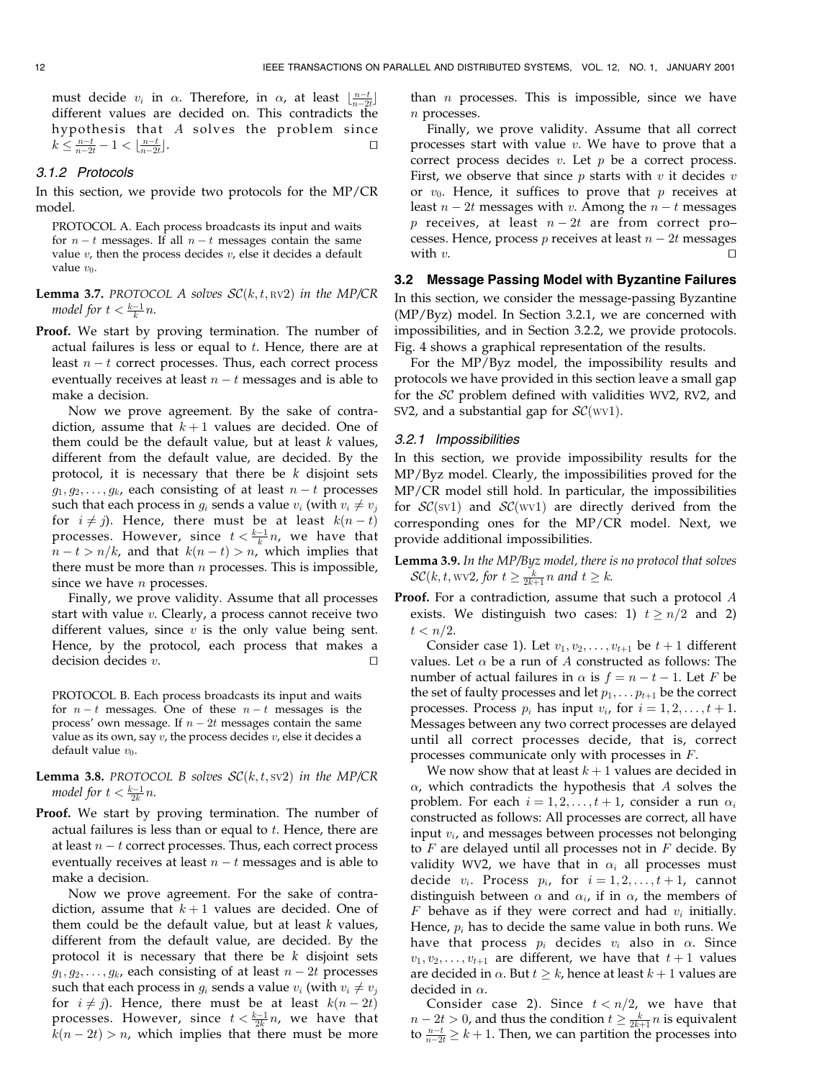must decide  $v_i$  in  $\alpha$ . Therefore, in  $\alpha$ , at least  $\lfloor \frac{n-t}{n-2t} \rfloor$ different values are decided on. This contradicts the hypothesis that A solves the problem since  $k \leq \frac{n-t}{n-2t} - 1 < \frac{n-t}{n-2t}$  $\Box$ . turns the contract of  $\Box$ 

## 3.1.2 Protocols

In this section, we provide two protocols for the MP/CR model.

PROTOCOL A. Each process broadcasts its input and waits for  $n - t$  messages. If all  $n - t$  messages contain the same value  $v$ , then the process decides  $v$ , else it decides a default value  $v_0$ .

**Lemma 3.7.** PROTOCOL A solves  $\mathcal{SC}(k, t, \text{RV2})$  in the MP/CR model for  $t < \frac{k-1}{k}n$ .

Proof. We start by proving termination. The number of actual failures is less or equal to  $t$ . Hence, there are at least  $n - t$  correct processes. Thus, each correct process eventually receives at least  $n - t$  messages and is able to make a decision.

Now we prove agreement. By the sake of contradiction, assume that  $k+1$  values are decided. One of them could be the default value, but at least  $k$  values, different from the default value, are decided. By the protocol, it is necessary that there be  $k$  disjoint sets  $g_1, g_2, \ldots, g_k$ , each consisting of at least  $n-t$  processes such that each process in  $g_i$  sends a value  $v_i$  (with  $v_i \neq v_j$ for  $i \neq j$ ). Hence, there must be at least  $k(n - t)$ processes. However, since  $t < \frac{k-1}{k}n$ , we have that  $n-t > n/k$ , and that  $k(n-t) > n$ , which implies that there must be more than  $n$  processes. This is impossible, since we have  $n$  processes.

Finally, we prove validity. Assume that all processes start with value v. Clearly, a process cannot receive two different values, since  $v$  is the only value being sent. Hence, by the protocol, each process that makes a decision decides  $v$ .

PROTOCOL B. Each process broadcasts its input and waits for  $n - t$  messages. One of these  $n - t$  messages is the process' own message. If  $n - 2t$  messages contain the same value as its own, say  $v$ , the process decides  $v$ , else it decides a default value  $v_0$ .

- **Lemma 3.8.** PROTOCOL B solves  $\mathcal{SC}(k, t, sv2)$  in the MP/CR model for  $t < \frac{k-1}{2k}n$ .
- Proof. We start by proving termination. The number of actual failures is less than or equal to  $t$ . Hence, there are at least  $n - t$  correct processes. Thus, each correct process eventually receives at least  $n - t$  messages and is able to make a decision.

Now we prove agreement. For the sake of contradiction, assume that  $k+1$  values are decided. One of them could be the default value, but at least  $k$  values, different from the default value, are decided. By the protocol it is necessary that there be  $k$  disjoint sets  $g_1, g_2, \ldots, g_k$ , each consisting of at least  $n - 2t$  processes such that each process in  $g_i$  sends a value  $v_i$  (with  $v_i \neq v_j$ for  $i \neq j$ ). Hence, there must be at least  $k(n - 2t)$ processes. However, since  $t < \frac{k-1}{2k}n$ , we have that  $k(n-2t) > n$ , which implies that there must be more than  $n$  processes. This is impossible, since we have n processes.

Finally, we prove validity. Assume that all correct processes start with value  $v$ . We have to prove that a correct process decides  $v$ . Let  $p$  be a correct process. First, we observe that since  $p$  starts with  $v$  it decides  $v$ or  $v_0$ . Hence, it suffices to prove that p receives at least  $n - 2t$  messages with v. Among the  $n - t$  messages p receives, at least  $n - 2t$  are from correct processes. Hence, process  $p$  receives at least  $n - 2t$  messages with v.  $\Box$ 

# 3.2 Message Passing Model with Byzantine Failures

In this section, we consider the message-passing Byzantine (MP/Byz) model. In Section 3.2.1, we are concerned with impossibilities, and in Section 3.2.2, we provide protocols. Fig. 4 shows a graphical representation of the results.

For the MP/Byz model, the impossibility results and protocols we have provided in this section leave a small gap for the SC problem defined with validities WV2, RV2, and SV2, and a substantial gap for  $\mathcal{SC}(WV1)$ .

## 3.2.1 Impossibilities

In this section, we provide impossibility results for the MP/Byz model. Clearly, the impossibilities proved for the MP/CR model still hold. In particular, the impossibilities for  $\mathcal{SC}(sv1)$  and  $\mathcal{SC}(wv1)$  are directly derived from the corresponding ones for the MP/CR model. Next, we provide additional impossibilities.

Lemma 3.9. In the MP/Byz model, there is no protocol that solves  $\mathcal{SC}(k, t, \text{wv2},$  for  $t \geq \frac{k}{2k+1}n$  and  $t \geq k$ .

Proof. For a contradiction, assume that such a protocol A exists. We distinguish two cases: 1)  $t \geq n/2$  and 2)  $t < n/2$ .

Consider case 1). Let  $v_1, v_2, \ldots, v_{t+1}$  be  $t+1$  different values. Let  $\alpha$  be a run of A constructed as follows: The number of actual failures in  $\alpha$  is  $f = n - t - 1$ . Let F be the set of faulty processes and let  $p_1, \ldots, p_{t+1}$  be the correct processes. Process  $p_i$  has input  $v_i$ , for  $i = 1, 2, \ldots, t + 1$ . Messages between any two correct processes are delayed until all correct processes decide, that is, correct processes communicate only with processes in F.

We now show that at least  $k + 1$  values are decided in  $\alpha$ , which contradicts the hypothesis that A solves the problem. For each  $i = 1, 2, \ldots, t + 1$ , consider a run  $\alpha_i$ constructed as follows: All processes are correct, all have input  $v_i$ , and messages between processes not belonging to  $F$  are delayed until all processes not in  $F$  decide. By validity WV2, we have that in  $\alpha_i$  all processes must decide  $v_i$ . Process  $p_i$ , for  $i = 1, 2, \ldots, t + 1$ , cannot distinguish between  $\alpha$  and  $\alpha_i$ , if in  $\alpha$ , the members of F behave as if they were correct and had  $v_i$  initially. Hence,  $p_i$  has to decide the same value in both runs. We have that process  $p_i$  decides  $v_i$  also in  $\alpha$ . Since  $v_1, v_2, \ldots, v_{t+1}$  are different, we have that  $t+1$  values are decided in  $\alpha$ . But  $t \geq k$ , hence at least  $k + 1$  values are decided in  $\alpha$ .

Consider case 2). Since  $t < n/2$ , we have that  $n-2t > 0$ , and thus the condition  $t \geq \frac{k}{2k+1} n$  is equivalent to  $\frac{n-t}{n-2t} \geq k+1$ . Then, we can partition the processes into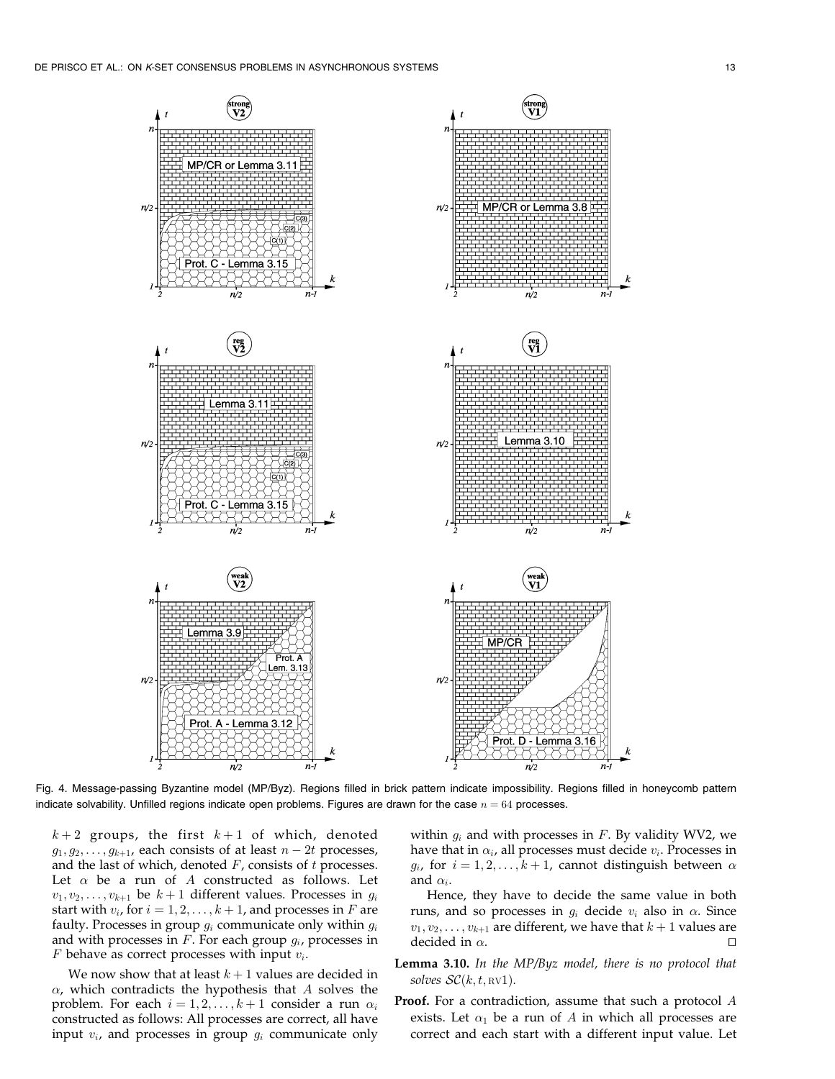

Fig. 4. Message-passing Byzantine model (MP/Byz). Regions filled in brick pattern indicate impossibility. Regions filled in honeycomb pattern indicate solvability. Unfilled regions indicate open problems. Figures are drawn for the case  $n = 64$  processes.

 $k+2$  groups, the first  $k+1$  of which, denoted  $g_1, g_2, \ldots, g_{k+1}$ , each consists of at least  $n-2t$  processes, and the last of which, denoted  $F$ , consists of  $t$  processes. Let  $\alpha$  be a run of A constructed as follows. Let  $v_1, v_2, \ldots, v_{k+1}$  be  $k+1$  different values. Processes in  $g_i$ start with  $v_i$ , for  $i = 1, 2, \ldots, k + 1$ , and processes in F are faulty. Processes in group  $g_i$  communicate only within  $g_i$ and with processes in  $F$ . For each group  $g_i$ , processes in  $F$  behave as correct processes with input  $v_i$ .

We now show that at least  $k + 1$  values are decided in  $\alpha$ , which contradicts the hypothesis that A solves the problem. For each  $i = 1, 2, ..., k + 1$  consider a run  $\alpha_i$ constructed as follows: All processes are correct, all have input  $v_i$ , and processes in group  $g_i$  communicate only within  $g_i$  and with processes in  $F$ . By validity WV2, we have that in  $\alpha_i$ , all processes must decide  $v_i$ . Processes in  $g_i$ , for  $i = 1, 2, ..., k + 1$ , cannot distinguish between  $\alpha$ and  $\alpha_i$ .

Hence, they have to decide the same value in both runs, and so processes in  $g_i$  decide  $v_i$  also in  $\alpha$ . Since  $v_1, v_2, \ldots, v_{k+1}$  are different, we have that  $k+1$  values are decided in  $\alpha$ .

- Lemma 3.10. In the MP/Byz model, there is no protocol that solves  $\mathcal{SC}(k, t, \text{\tiny RV1}).$
- **Proof.** For a contradiction, assume that such a protocol A exists. Let  $\alpha_1$  be a run of A in which all processes are correct and each start with a different input value. Let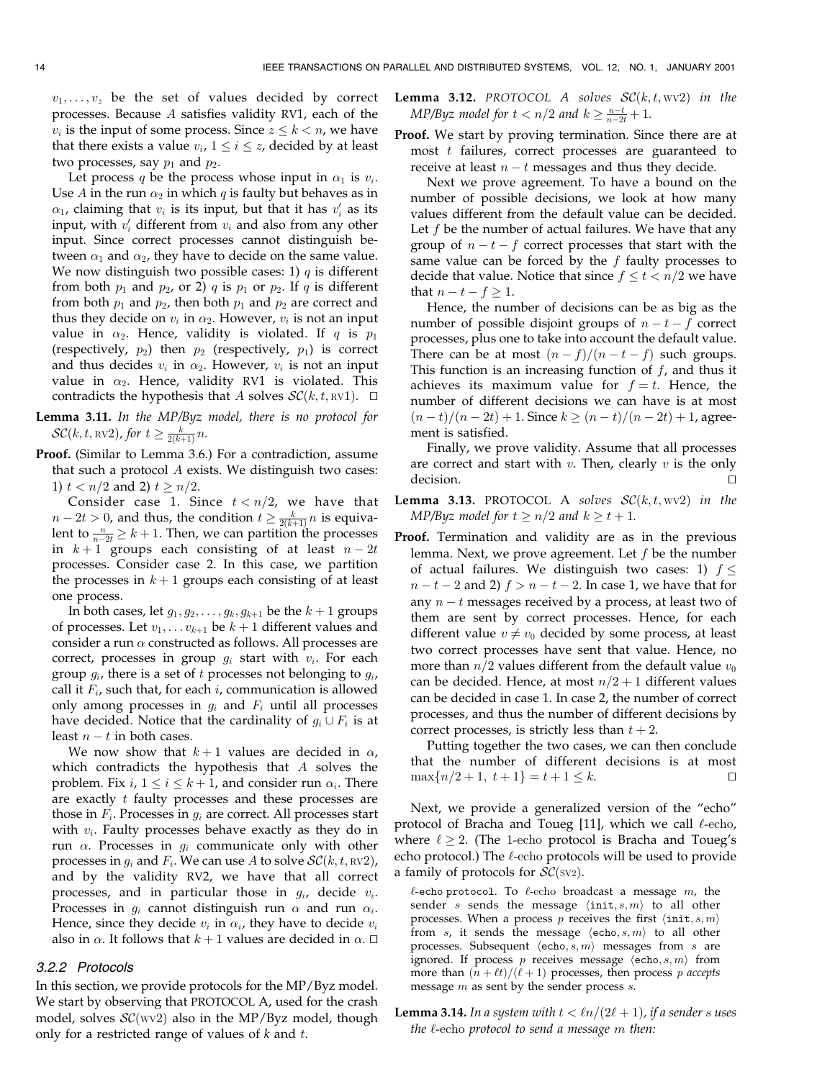$v_1, \ldots, v_z$  be the set of values decided by correct processes. Because A satisfies validity RV1, each of the  $v_i$  is the input of some process. Since  $z \leq k < n$ , we have that there exists a value  $v_i$ ,  $1 \le i \le z$ , decided by at least two processes, say  $p_1$  and  $p_2$ .

Let process q be the process whose input in  $\alpha_1$  is  $v_i$ . Use A in the run  $\alpha_2$  in which q is faulty but behaves as in  $\alpha_1$ , claiming that  $v_i$  is its input, but that it has  $v'_i$  as its input, with  $v'_i$  different from  $v_i$  and also from any other input. Since correct processes cannot distinguish between  $\alpha_1$  and  $\alpha_2$ , they have to decide on the same value. We now distinguish two possible cases: 1)  $q$  is different from both  $p_1$  and  $p_2$ , or 2)  $q$  is  $p_1$  or  $p_2$ . If  $q$  is different from both  $p_1$  and  $p_2$ , then both  $p_1$  and  $p_2$  are correct and thus they decide on  $v_i$  in  $\alpha_2$ . However,  $v_i$  is not an input value in  $\alpha_2$ . Hence, validity is violated. If q is  $p_1$ (respectively,  $p_2$ ) then  $p_2$  (respectively,  $p_1$ ) is correct and thus decides  $v_i$  in  $\alpha_2$ . However,  $v_i$  is not an input value in  $\alpha_2$ . Hence, validity RV1 is violated. This contradicts the hypothesis that A solves  $\mathcal{SC}(k, t, \text{RV1})$ .  $\Box$ 

Lemma 3.11. In the MP/Byz model, there is no protocol for SC(k, t,  $\text{\tiny RV2}$ ), for  $t \geq \frac{k}{2(k+1)}n$ .

Proof. (Similar to Lemma 3.6.) For a contradiction, assume that such a protocol A exists. We distinguish two cases: 1)  $t < n/2$  and 2)  $t \ge n/2$ .

Consider case 1. Since  $t < n/2$ , we have that  $n-2t > 0$ , and thus, the condition  $t \geq \frac{k}{2(k+1)}n$  is equivalent to  $\frac{n}{n-2t} \geq k+1$ . Then, we can partition the processes in  $k+1$  groups each consisting of at least  $n-2t$ processes. Consider case 2. In this case, we partition the processes in  $k+1$  groups each consisting of at least one process.

In both cases, let  $g_1, g_2, \ldots, g_k, g_{k+1}$  be the  $k+1$  groups of processes. Let  $v_1, \ldots v_{k+1}$  be  $k+1$  different values and consider a run  $\alpha$  constructed as follows. All processes are correct, processes in group  $g_i$  start with  $v_i$ . For each group  $g_i$ , there is a set of t processes not belonging to  $g_i$ , call it  $F_i$ , such that, for each i, communication is allowed only among processes in  $g_i$  and  $F_i$  until all processes have decided. Notice that the cardinality of  $g_i \cup F_i$  is at least  $n - t$  in both cases.

We now show that  $k+1$  values are decided in  $\alpha$ , which contradicts the hypothesis that A solves the problem. Fix  $i, 1 \le i \le k + 1$ , and consider run  $\alpha_i$ . There are exactly  $t$  faulty processes and these processes are those in  $F_i$ . Processes in  $g_i$  are correct. All processes start with  $v_i$ . Faulty processes behave exactly as they do in run  $\alpha$ . Processes in  $g_i$  communicate only with other processes in  $g_i$  and  $F_i$ . We can use A to solve  $\mathcal{SC}(k, t, \text{RV2})$ , and by the validity RV2, we have that all correct processes, and in particular those in  $g_i$ , decide  $v_i$ . Processes in  $g_i$  cannot distinguish run  $\alpha$  and run  $\alpha_i$ . Hence, since they decide  $v_i$  in  $\alpha_i$ , they have to decide  $v_i$ also in  $\alpha$ . It follows that  $k + 1$  values are decided in  $\alpha$ .  $\Box$ 

## 3.2.2 Protocols

In this section, we provide protocols for the MP/Byz model. We start by observing that PROTOCOL A, used for the crash model, solves  $\mathcal{SC}(WV2)$  also in the MP/Byz model, though only for a restricted range of values of  $k$  and  $t$ .

- **Lemma 3.12.** PROTOCOL A solves  $\mathcal{SC}(k, t, wv2)$  in the MP/Byz model for  $t < n/2$  and  $k \geq \frac{n-t}{n-2t} + 1$ .
- Proof. We start by proving termination. Since there are at most t failures, correct processes are guaranteed to receive at least  $n - t$  messages and thus they decide.

Next we prove agreement. To have a bound on the number of possible decisions, we look at how many values different from the default value can be decided. Let  $f$  be the number of actual failures. We have that any group of  $n - t - f$  correct processes that start with the same value can be forced by the  $f$  faulty processes to decide that value. Notice that since  $f \le t < n/2$  we have that  $n - t - f \ge 1$ .

Hence, the number of decisions can be as big as the number of possible disjoint groups of  $n - t - f$  correct processes, plus one to take into account the default value. There can be at most  $(n - f)/(n - t - f)$  such groups. This function is an increasing function of  $f$ , and thus it achieves its maximum value for  $f = t$ . Hence, the number of different decisions we can have is at most  $(n-t)/(n - 2t) + 1$ . Since  $k \ge (n - t)/(n - 2t) + 1$ , agreement is satisfied.

Finally, we prove validity. Assume that all processes are correct and start with  $v$ . Then, clearly  $v$  is the only decision. The contract of the contract of the contract of the contract of the contract of the contract of the contract of the contract of the contract of the contract of the contract of the contract of the contract of the

**Lemma 3.13.** PROTOCOL A solves  $\mathcal{SC}(k, t, wv2)$  in the MP/Byz model for  $t \ge n/2$  and  $k \ge t + 1$ .

Proof. Termination and validity are as in the previous lemma. Next, we prove agreement. Let  $f$  be the number of actual failures. We distinguish two cases: 1)  $f \leq$  $n - t - 2$  and 2)  $f > n - t - 2$ . In case 1, we have that for any  $n - t$  messages received by a process, at least two of them are sent by correct processes. Hence, for each different value  $v \neq v_0$  decided by some process, at least two correct processes have sent that value. Hence, no more than  $n/2$  values different from the default value  $v_0$ can be decided. Hence, at most  $n/2 + 1$  different values can be decided in case 1. In case 2, the number of correct processes, and thus the number of different decisions by correct processes, is strictly less than  $t + 2$ .

Putting together the two cases, we can then conclude that the number of different decisions is at most  $\max\{n/2 + 1, t + 1\} = t + 1 \leq k.$ 

Next, we provide a generalized version of the "echo" protocol of Bracha and Toueg [11], which we call  $\ell$ -echo, where  $\ell \geq 2$ . (The 1-echo protocol is Bracha and Toueg's echo protocol.) The  $\ell$ -echo protocols will be used to provide a family of protocols for  $\mathcal{SC}(\text{sv2})$ .

 $\ell$ -echo protocol. To  $\ell$ -echo broadcast a message m, the sender s sends the message  $\langle \text{init}, s, m \rangle$  to all other processes. When a process p receives the first  $\langle \text{init}, s, m \rangle$ from s, it sends the message  $\langle$ echo, s, m $\rangle$  to all other processes. Subsequent  $\langle \text{echo}, s, m \rangle$  messages from s are ignored. If process p receives message  $\langle \text{echo}, s, m \rangle$  from more than  $(n + \ell t)/(\ell + 1)$  processes, then process p accepts message  $m$  as sent by the sender process  $s$ .

**Lemma 3.14.** In a system with  $t < ln/(2\ell + 1)$ , if a sender s uses the  $\ell$ -echo protocol to send a message  $m$  then: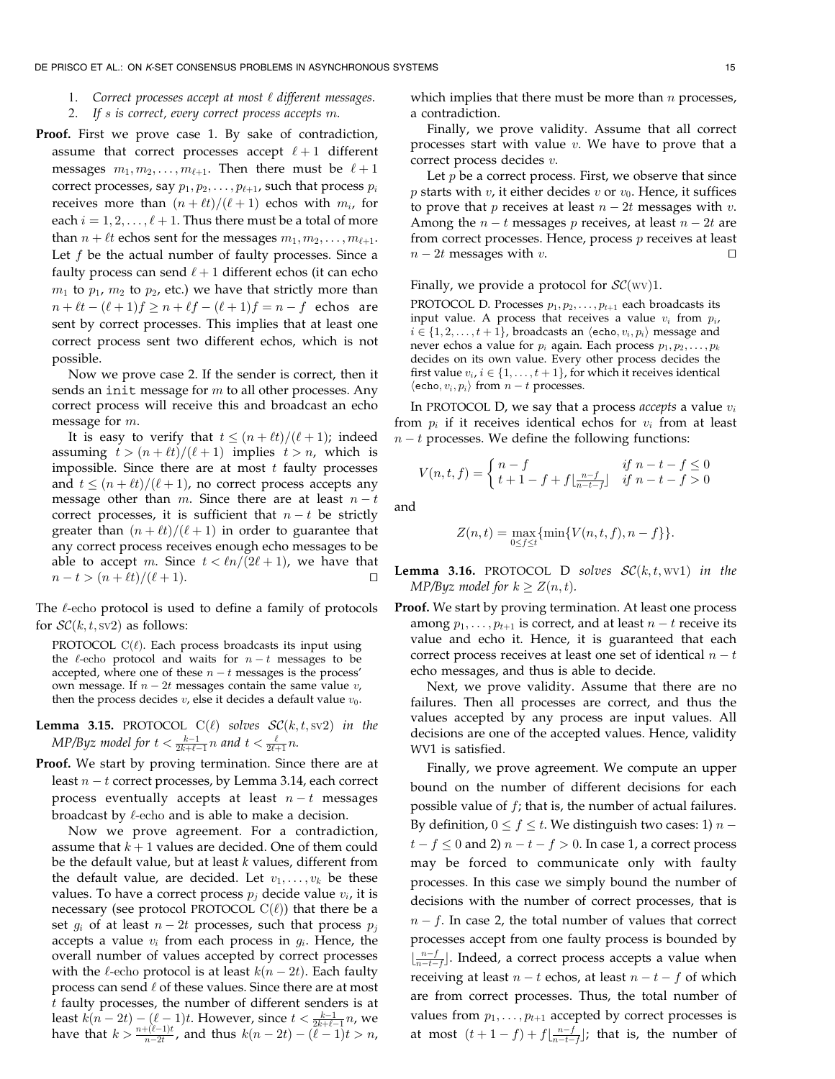- 1. Correct processes accept at most  $\ell$  different messages.
- 2. If s is correct, every correct process accepts m.
- Proof. First we prove case 1. By sake of contradiction, assume that correct processes accept  $\ell + 1$  different messages  $m_1, m_2, \ldots, m_{\ell+1}$ . Then there must be  $\ell + 1$ correct processes, say  $p_1, p_2, \ldots, p_{\ell+1}$ , such that process  $p_i$ receives more than  $(n + \ell t)/(\ell + 1)$  echos with  $m_i$ , for each  $i = 1, 2, \ldots, \ell + 1$ . Thus there must be a total of more than  $n + \ell t$  echos sent for the messages  $m_1, m_2, \ldots, m_{\ell+1}$ . Let  $f$  be the actual number of faulty processes. Since a faulty process can send  $\ell + 1$  different echos (it can echo  $m_1$  to  $p_1$ ,  $m_2$  to  $p_2$ , etc.) we have that strictly more than  $n + \ell t - (\ell + 1)f \ge n + \ell f - (\ell + 1)f = n - f$  echos are sent by correct processes. This implies that at least one correct process sent two different echos, which is not possible.

Now we prove case 2. If the sender is correct, then it sends an init message for  $m$  to all other processes. Any correct process will receive this and broadcast an echo message for m.

It is easy to verify that  $t \leq (n + \ell t)/(\ell + 1)$ ; indeed assuming  $t > (n + \ell t)/(\ell + 1)$  implies  $t > n$ , which is impossible. Since there are at most  $t$  faulty processes and  $t \leq (n + \ell t)/(\ell + 1)$ , no correct process accepts any message other than m. Since there are at least  $n - t$ correct processes, it is sufficient that  $n - t$  be strictly greater than  $(n + \ell t)/(\ell + 1)$  in order to guarantee that any correct process receives enough echo messages to be able to accept m. Since  $t < ln/(2\ell + 1)$ , we have that  $n - t > (n + \ell t)/(\ell + 1).$ 

The  $\ell$ -echo protocol is used to define a family of protocols for  $\mathcal{SC}(k, t, \text{sv2})$  as follows:

PROTOCOL  $C(\ell)$ . Each process broadcasts its input using the  $\ell$ -echo protocol and waits for  $n - t$  messages to be accepted, where one of these  $n - t$  messages is the process' own message. If  $n - 2t$  messages contain the same value v, then the process decides  $v$ , else it decides a default value  $v_0$ .

**Lemma 3.15.** PROTOCOL  $C(\ell)$  solves  $SC(k, t, sv2)$  in the MP/Byz model for  $t < \frac{k-1}{2k+\ell-1}n$  and  $t < \frac{\ell}{2\ell+1}n$ .

Proof. We start by proving termination. Since there are at least  $n - t$  correct processes, by Lemma 3.14, each correct process eventually accepts at least  $n - t$  messages broadcast by  $\ell$ -echo and is able to make a decision.

Now we prove agreement. For a contradiction, assume that  $k + 1$  values are decided. One of them could be the default value, but at least  $k$  values, different from the default value, are decided. Let  $v_1, \ldots, v_k$  be these values. To have a correct process  $p_i$  decide value  $v_i$ , it is necessary (see protocol PROTOCOL  $C(\ell)$ ) that there be a set  $g_i$  of at least  $n - 2t$  processes, such that process  $p_j$ accepts a value  $v_i$  from each process in  $g_i$ . Hence, the overall number of values accepted by correct processes with the  $\ell$ -echo protocol is at least  $k(n - 2t)$ . Each faulty process can send  $\ell$  of these values. Since there are at most t faulty processes, the number of different senders is at least  $k(n - 2t) - (\ell - 1)t$ . However, since  $t < \frac{k-1}{2k+\ell-1}n$ , we have that  $k > \frac{n + (\ell-1)t}{n-2t}$ , and thus  $k(n-2t) - (\ell-1)t > n$ ,

which implies that there must be more than  $n$  processes, a contradiction.

Finally, we prove validity. Assume that all correct processes start with value  $v$ . We have to prove that a correct process decides v.

Let  $p$  be a correct process. First, we observe that since *p* starts with *v*, it either decides *v* or  $v_0$ . Hence, it suffices to prove that *p* receives at least  $n - 2t$  messages with *v*. Among the  $n - t$  messages p receives, at least  $n - 2t$  are from correct processes. Hence, process  $p$  receives at least  $n - 2t$  messages with v.

Finally, we provide a protocol for  $\mathcal{SC}(WV)$ 1.

PROTOCOL D. Processes  $p_1, p_2, \ldots, p_{t+1}$  each broadcasts its input value. A process that receives a value  $v_i$  from  $p_i$ ,  $i \in \{1, 2, \ldots, t + 1\}$ , broadcasts an  $\langle$ echo,  $v_i, p_i \rangle$  message and never echos a value for  $p_i$  again. Each process  $p_1, p_2, \ldots, p_k$ decides on its own value. Every other process decides the first value  $v_i$ ,  $i \in \{1, \ldots, t + 1\}$ , for which it receives identical  $\langle$ echo,  $v_i, p_i \rangle$  from  $n - t$  processes.

In PROTOCOL D, we say that a process *accepts* a value  $v_i$ from  $p_i$  if it receives identical echos for  $v_i$  from at least  $n - t$  processes. We define the following functions:

$$
V(n,t,f) = \begin{cases} n-f & \text{if } n-t-f \le 0\\ t+1-f+f\lfloor \frac{n-f}{n-t-f} \rfloor & \text{if } n-t-f > 0 \end{cases}
$$

and

$$
Z(n,t) = \max_{0 \le f \le t} \{ \min\{V(n,t,f), n-f\} \}.
$$

**Lemma 3.16.** PROTOCOL D solves  $\mathcal{SC}(k, t, wv1)$  in the MP/Byz model for  $k \ge Z(n, t)$ .

Proof. We start by proving termination. At least one process among  $p_1, \ldots, p_{t+1}$  is correct, and at least  $n - t$  receive its value and echo it. Hence, it is guaranteed that each correct process receives at least one set of identical  $n - t$ echo messages, and thus is able to decide.

Next, we prove validity. Assume that there are no failures. Then all processes are correct, and thus the values accepted by any process are input values. All decisions are one of the accepted values. Hence, validity WV1 is satisfied.

Finally, we prove agreement. We compute an upper bound on the number of different decisions for each possible value of  $f$ ; that is, the number of actual failures. By definition,  $0 \le f \le t$ . We distinguish two cases: 1)  $n$  $t - f \le 0$  and 2)  $n - t - f > 0$ . In case 1, a correct process may be forced to communicate only with faulty processes. In this case we simply bound the number of decisions with the number of correct processes, that is  $n - f$ . In case 2, the total number of values that correct processes accept from one faulty process is bounded by  $\lfloor \frac{n-f}{n-t-f} \rfloor$ . Indeed, a correct process accepts a value when receiving at least  $n - t$  echos, at least  $n - t - f$  of which are from correct processes. Thus, the total number of values from  $p_1, \ldots, p_{t+1}$  accepted by correct processes is at most  $(t+1-f) + f\left\lfloor \frac{n-f}{n-t-f} \right\rfloor$ ; that is, the number of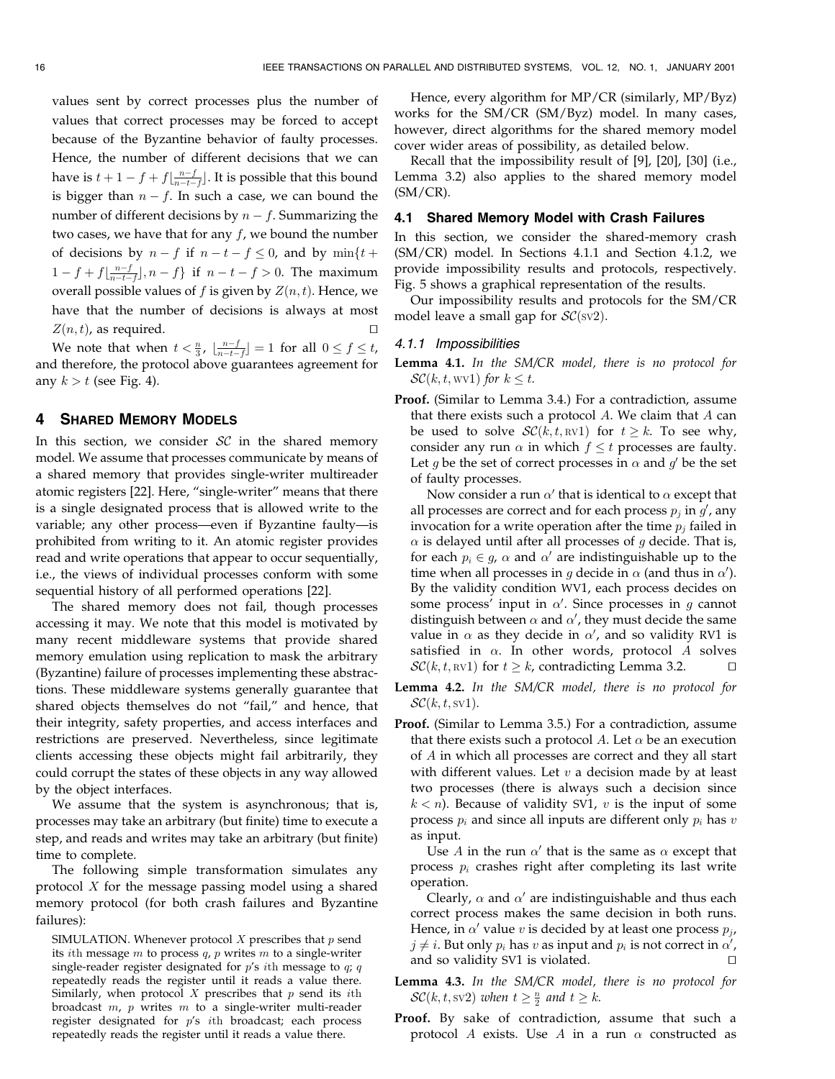values sent by correct processes plus the number of values that correct processes may be forced to accept because of the Byzantine behavior of faulty processes. Hence, the number of different decisions that we can have is  $t + 1 - f + f\left\lfloor \frac{n-f}{n-t-f} \right\rfloor$ . It is possible that this bound is bigger than  $n - f$ . In such a case, we can bound the number of different decisions by  $n - f$ . Summarizing the two cases, we have that for any  $f$ , we bound the number of decisions by  $n - f$  if  $n - t - f \leq 0$ , and by  $\min\{t +$  $1 - f + f\left[\frac{n-f}{n-t-f}\right], n - f$  if  $n - t - f > 0$ . The maximum overall possible values of  $f$  is given by  $Z(n, t)$ . Hence, we have that the number of decisions is always at most  $Z(n, t)$ , as required.

We note that when  $t < \frac{n}{3}$ ,  $\lfloor \frac{n-f}{n-t-f} \rfloor = 1$  for all  $0 \le f \le t$ , and therefore, the protocol above guarantees agreement for any  $k > t$  (see Fig. 4).

# 4 SHARED MEMORY MODELS

In this section, we consider  $SC$  in the shared memory model. We assume that processes communicate by means of a shared memory that provides single-writer multireader atomic registers [22]. Here, "single-writer" means that there is a single designated process that is allowed write to the variable; any other process—even if Byzantine faulty—is prohibited from writing to it. An atomic register provides read and write operations that appear to occur sequentially, i.e., the views of individual processes conform with some sequential history of all performed operations [22].

The shared memory does not fail, though processes accessing it may. We note that this model is motivated by many recent middleware systems that provide shared memory emulation using replication to mask the arbitrary (Byzantine) failure of processes implementing these abstractions. These middleware systems generally guarantee that shared objects themselves do not "fail," and hence, that their integrity, safety properties, and access interfaces and restrictions are preserved. Nevertheless, since legitimate clients accessing these objects might fail arbitrarily, they could corrupt the states of these objects in any way allowed by the object interfaces.

We assume that the system is asynchronous; that is, processes may take an arbitrary (but finite) time to execute a step, and reads and writes may take an arbitrary (but finite) time to complete.

The following simple transformation simulates any protocol  $X$  for the message passing model using a shared memory protocol (for both crash failures and Byzantine failures):

SIMULATION. Whenever protocol  $X$  prescribes that  $p$  send its *i*th message m to process  $q$ ,  $p$  writes  $m$  to a single-writer single-reader register designated for  $p's$  ith message to  $q; q$ repeatedly reads the register until it reads a value there. Similarly, when protocol  $X$  prescribes that  $p$  send its  $i$ th broadcast  $m$ ,  $p$  writes  $m$  to a single-writer multi-reader register designated for p's ith broadcast; each process repeatedly reads the register until it reads a value there.

Hence, every algorithm for MP/CR (similarly, MP/Byz) works for the SM/CR (SM/Byz) model. In many cases, however, direct algorithms for the shared memory model cover wider areas of possibility, as detailed below.

Recall that the impossibility result of [9], [20], [30] (i.e., Lemma 3.2) also applies to the shared memory model  $(SM/CR)$ .

# 4.1 Shared Memory Model with Crash Failures

In this section, we consider the shared-memory crash (SM/CR) model. In Sections 4.1.1 and Section 4.1.2, we provide impossibility results and protocols, respectively. Fig. 5 shows a graphical representation of the results.

Our impossibility results and protocols for the SM/CR model leave a small gap for  $\mathcal{SC}(\text{sv2})$ .

## 4.1.1 Impossibilities

Lemma 4.1. In the SM/CR model, there is no protocol for  $\mathcal{SC}(k, t, \text{wvl})$  for  $k \leq t$ .

Proof. (Similar to Lemma 3.4.) For a contradiction, assume that there exists such a protocol  $A$ . We claim that  $A$  can be used to solve  $\mathcal{SC}(k, t, \text{RV1})$  for  $t \geq k$ . To see why, consider any run  $\alpha$  in which  $f \le t$  processes are faulty. Let g be the set of correct processes in  $\alpha$  and  $g'$  be the set of faulty processes.

Now consider a run  $\alpha'$  that is identical to  $\alpha$  except that all processes are correct and for each process  $p_j$  in  $g'$ , any invocation for a write operation after the time  $p_i$  failed in  $\alpha$  is delayed until after all processes of g decide. That is, for each  $p_i \in g$ ,  $\alpha$  and  $\alpha'$  are indistinguishable up to the time when all processes in g decide in  $\alpha$  (and thus in  $\alpha'$ ). By the validity condition WV1, each process decides on some process' input in  $\alpha'$ . Since processes in g cannot distinguish between  $\alpha$  and  $\alpha'$ , they must decide the same value in  $\alpha$  as they decide in  $\alpha'$ , and so validity RV1 is satisfied in  $\alpha$ . In other words, protocol A solves  $\mathcal{SC}(k, t, \text{RV1})$  for  $t \geq k$ , contradicting Lemma 3.2.

Lemma 4.2. In the SM/CR model, there is no protocol for  $\mathcal{SC}(k, t, sv1)$ .

Proof. (Similar to Lemma 3.5.) For a contradiction, assume that there exists such a protocol A. Let  $\alpha$  be an execution of A in which all processes are correct and they all start with different values. Let  $v$  a decision made by at least two processes (there is always such a decision since  $k < n$ ). Because of validity SV1, v is the input of some process  $p_i$  and since all inputs are different only  $p_i$  has v as input.

Use A in the run  $\alpha'$  that is the same as  $\alpha$  except that process  $p_i$  crashes right after completing its last write operation.

Clearly,  $\alpha$  and  $\alpha'$  are indistinguishable and thus each correct process makes the same decision in both runs. Hence, in  $\alpha'$  value v is decided by at least one process  $p_i$ ,  $j\neq i.$  But only  $p_i$  has  $v$  as input and  $p_i$  is not correct in  $\alpha'$ , and so validity SV1 is violated.  $\square$ 

Lemma 4.3. In the SM/CR model, there is no protocol for  $\mathcal{SC}(k, t, \text{sv2})$  when  $t \geq \frac{n}{2}$  and  $t \geq k$ .

Proof. By sake of contradiction, assume that such a protocol A exists. Use A in a run  $\alpha$  constructed as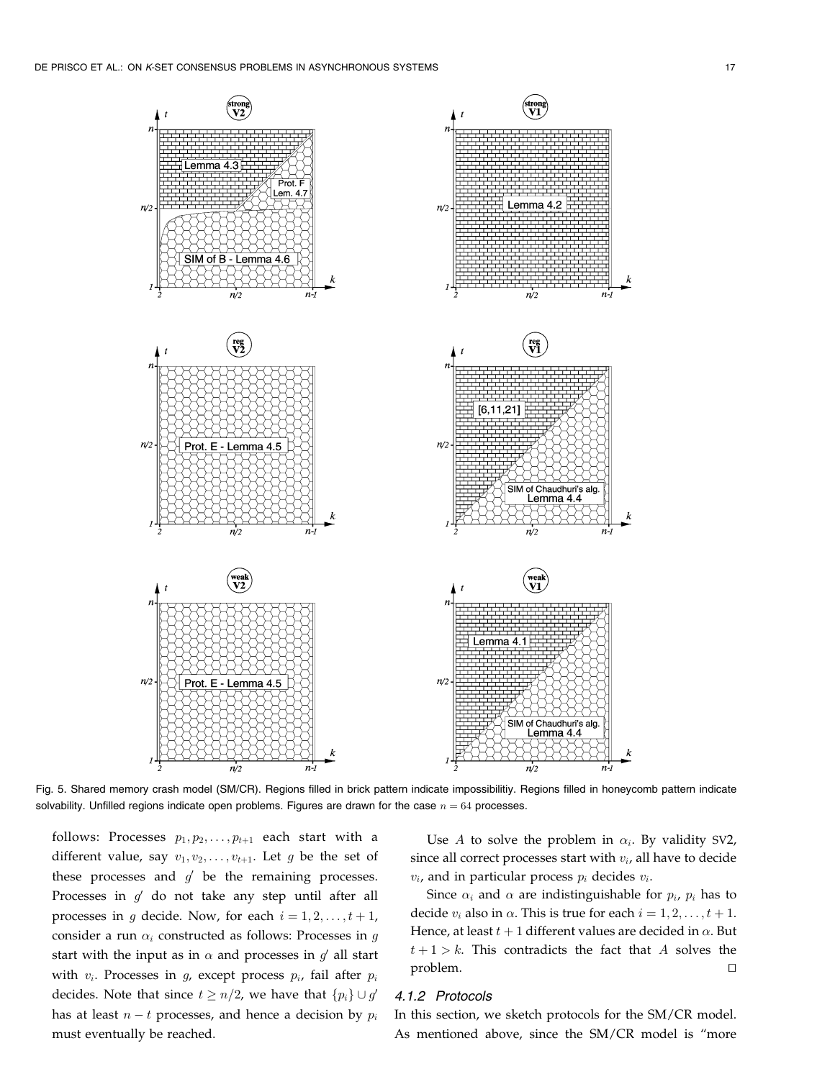

Fig. 5. Shared memory crash model (SM/CR). Regions filled in brick pattern indicate impossibilitiy. Regions filled in honeycomb pattern indicate solvability. Unfilled regions indicate open problems. Figures are drawn for the case  $n = 64$  processes.

follows: Processes  $p_1, p_2, \ldots, p_{t+1}$  each start with a different value, say  $v_1, v_2, \ldots, v_{t+1}$ . Let g be the set of these processes and  $g'$  be the remaining processes. Processes in  $g'$  do not take any step until after all processes in g decide. Now, for each  $i = 1, 2, \ldots, t + 1$ , consider a run  $\alpha_i$  constructed as follows: Processes in g start with the input as in  $\alpha$  and processes in  $g'$  all start with  $v_i$ . Processes in g, except process  $p_i$ , fail after  $p_i$ decides. Note that since  $t \geq n/2$ , we have that  $\{p_i\} \cup g'$ has at least  $n - t$  processes, and hence a decision by  $p_i$ must eventually be reached.

Use A to solve the problem in  $\alpha_i$ . By validity SV2, since all correct processes start with  $v_i$ , all have to decide  $v_i$ , and in particular process  $p_i$  decides  $v_i$ .

Since  $\alpha_i$  and  $\alpha$  are indistinguishable for  $p_i$ ,  $p_i$  has to decide  $v_i$  also in  $\alpha$ . This is true for each  $i = 1, 2, \ldots, t + 1$ . Hence, at least  $t + 1$  different values are decided in  $\alpha$ . But  $t + 1 > k$ . This contradicts the fact that A solves the  $\Box$  problem.  $\Box$ 

# 4.1.2 Protocols

In this section, we sketch protocols for the SM/CR model. As mentioned above, since the SM/CR model is "more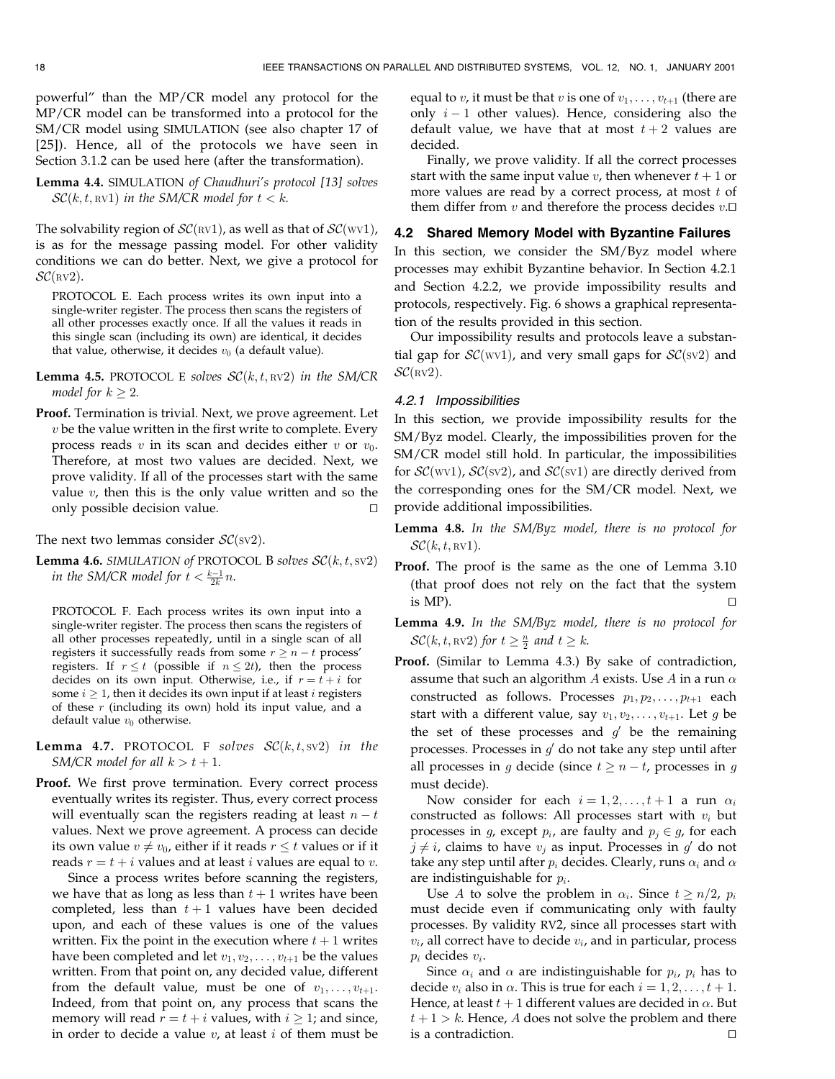powerful" than the MP/CR model any protocol for the MP/CR model can be transformed into a protocol for the SM/CR model using SIMULATION (see also chapter 17 of [25]). Hence, all of the protocols we have seen in Section 3.1.2 can be used here (after the transformation).

Lemma 4.4. SIMULATION of Chaudhuri's protocol [13] solves  $\mathcal{SC}(k, t, \text{RV1})$  in the SM/CR model for  $t < k$ .

The solvability region of  $\mathcal{SC}(\text{RV1})$ , as well as that of  $\mathcal{SC}(\text{WV1})$ , is as for the message passing model. For other validity conditions we can do better. Next, we give a protocol for  $\mathcal{SC}(\textsc{rv2}).$ 

PROTOCOL E. Each process writes its own input into a single-writer register. The process then scans the registers of all other processes exactly once. If all the values it reads in this single scan (including its own) are identical, it decides that value, otherwise, it decides  $v_0$  (a default value).

**Lemma 4.5.** PROTOCOL E solves  $\mathcal{SC}(k, t, \text{RV2})$  in the SM/CR model for  $k > 2$ .

Proof. Termination is trivial. Next, we prove agreement. Let  $v$  be the value written in the first write to complete. Every process reads v in its scan and decides either v or  $v_0$ . Therefore, at most two values are decided. Next, we prove validity. If all of the processes start with the same value  $v$ , then this is the only value written and so the only possible decision value.

The next two lemmas consider  $\mathcal{SC}(\text{sv2})$ .

**Lemma 4.6.** SIMULATION of PROTOCOL B solves  $\mathcal{SC}(k, t, \text{sv2})$ in the SM/CR model for  $t < \frac{k-1}{2k}n$ .

PROTOCOL F. Each process writes its own input into a single-writer register. The process then scans the registers of all other processes repeatedly, until in a single scan of all registers it successfully reads from some  $r \geq n - t$  process' registers. If  $r \le t$  (possible if  $n \le 2t$ ), then the process decides on its own input. Otherwise, i.e., if  $r = t + i$  for some  $i \geq 1$ , then it decides its own input if at least i registers of these  $r$  (including its own) hold its input value, and a default value  $v_0$  otherwise.

- **Lemma 4.7.** PROTOCOL F solves  $\mathcal{SC}(k, t, sv2)$  in the SM/CR model for all  $k > t + 1$ .
- Proof. We first prove termination. Every correct process eventually writes its register. Thus, every correct process will eventually scan the registers reading at least  $n - t$ values. Next we prove agreement. A process can decide its own value  $v \neq v_0$ , either if it reads  $r \leq t$  values or if it reads  $r = t + i$  values and at least *i* values are equal to *v*.

Since a process writes before scanning the registers, we have that as long as less than  $t + 1$  writes have been completed, less than  $t + 1$  values have been decided upon, and each of these values is one of the values written. Fix the point in the execution where  $t + 1$  writes have been completed and let  $v_1, v_2, \ldots, v_{t+1}$  be the values written. From that point on, any decided value, different from the default value, must be one of  $v_1, \ldots, v_{t+1}$ . Indeed, from that point on, any process that scans the memory will read  $r = t + i$  values, with  $i \ge 1$ ; and since, in order to decide a value  $v$ , at least  $i$  of them must be

equal to v, it must be that v is one of  $v_1, \ldots, v_{t+1}$  (there are only  $i - 1$  other values). Hence, considering also the default value, we have that at most  $t + 2$  values are decided.

Finally, we prove validity. If all the correct processes start with the same input value v, then whenever  $t + 1$  or more values are read by a correct process, at most  $t$  of them differ from  $v$  and therefore the process decides  $v.\Box$ 

# 4.2 Shared Memory Model with Byzantine Failures

In this section, we consider the SM/Byz model where processes may exhibit Byzantine behavior. In Section 4.2.1 and Section 4.2.2, we provide impossibility results and protocols, respectively. Fig. 6 shows a graphical representation of the results provided in this section.

Our impossibility results and protocols leave a substantial gap for  $\mathcal{SC}(WV1)$ , and very small gaps for  $\mathcal{SC}(SV2)$  and  $\mathcal{SC}(\textsc{rv2}).$ 

#### 4.2.1 Impossibilities

In this section, we provide impossibility results for the SM/Byz model. Clearly, the impossibilities proven for the SM/CR model still hold. In particular, the impossibilities for  $\mathcal{SC}(wv1)$ ,  $\mathcal{SC}(sv2)$ , and  $\mathcal{SC}(sv1)$  are directly derived from the corresponding ones for the SM/CR model. Next, we provide additional impossibilities.

Lemma 4.8. In the SM/Byz model, there is no protocol for  $\mathcal{SC}(k, t, \text{RV1}).$ 

- Proof. The proof is the same as the one of Lemma 3.10 (that proof does not rely on the fact that the system is MP).  $\Box$
- Lemma 4.9. In the SM/Byz model, there is no protocol for  $\mathcal{SC}(k, t, \text{\tiny RV2})$  for  $t \geq \frac{n}{2}$  and  $t \geq k$ .
- Proof. (Similar to Lemma 4.3.) By sake of contradiction, assume that such an algorithm  $A$  exists. Use  $A$  in a run  $\alpha$ constructed as follows. Processes  $p_1, p_2, \ldots, p_{t+1}$  each start with a different value, say  $v_1, v_2, \ldots, v_{t+1}$ . Let g be the set of these processes and  $g'$  be the remaining processes. Processes in  $g'$  do not take any step until after all processes in g decide (since  $t \geq n - t$ , processes in g must decide).

Now consider for each  $i = 1, 2, \ldots, t + 1$  a run  $\alpha_i$ constructed as follows: All processes start with  $v_i$  but processes in g, except  $p_i$ , are faulty and  $p_j \in g$ , for each  $j \neq i$ , claims to have  $v_j$  as input. Processes in  $g'$  do not take any step until after  $p_i$  decides. Clearly, runs  $\alpha_i$  and  $\alpha$ are indistinguishable for  $p_i$ .

Use A to solve the problem in  $\alpha_i$ . Since  $t \geq n/2$ ,  $p_i$ must decide even if communicating only with faulty processes. By validity RV2, since all processes start with  $v_i$ , all correct have to decide  $v_i$ , and in particular, process  $p_i$  decides  $v_i$ .

Since  $\alpha_i$  and  $\alpha$  are indistinguishable for  $p_i$ ,  $p_i$  has to decide  $v_i$  also in  $\alpha$ . This is true for each  $i = 1, 2, \ldots, t + 1$ . Hence, at least  $t + 1$  different values are decided in  $\alpha$ . But  $t + 1 > k$ . Hence, A does not solve the problem and there is a contradiction.  $\Box$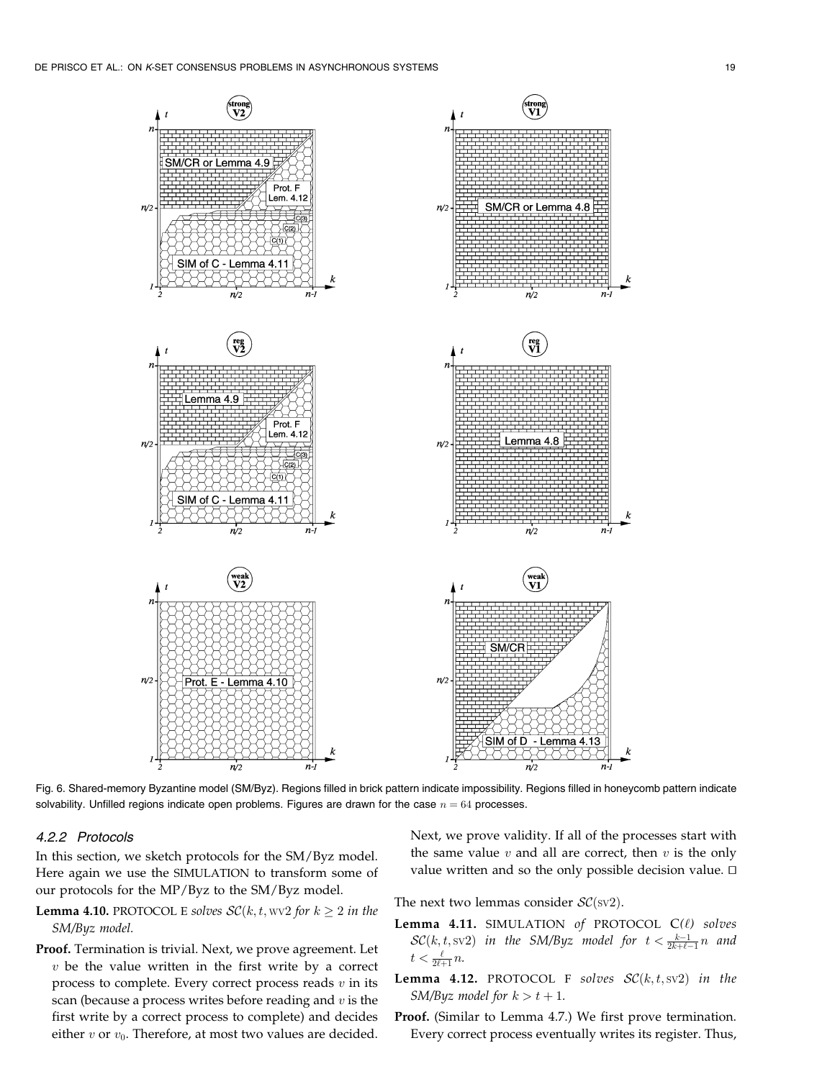

Fig. 6. Shared-memory Byzantine model (SM/Byz). Regions filled in brick pattern indicate impossibility. Regions filled in honeycomb pattern indicate solvability. Unfilled regions indicate open problems. Figures are drawn for the case  $n = 64$  processes.

# 4.2.2 Protocols

In this section, we sketch protocols for the SM/Byz model. Here again we use the SIMULATION to transform some of our protocols for the MP/Byz to the SM/Byz model.

- **Lemma 4.10.** PROTOCOL E solves  $\mathcal{SC}(k, t, wv2$  for  $k \ge 2$  in the SM/Byz model.
- Proof. Termination is trivial. Next, we prove agreement. Let  $v$  be the value written in the first write by a correct process to complete. Every correct process reads  $v$  in its scan (because a process writes before reading and  $v$  is the first write by a correct process to complete) and decides either  $v$  or  $v_0$ . Therefore, at most two values are decided.

Next, we prove validity. If all of the processes start with the same value  $v$  and all are correct, then  $v$  is the only value written and so the only possible decision value.  $\Box$ 

The next two lemmas consider  $\mathcal{SC}(\text{sv2})$ .

- Lemma 4.11. SIMULATION of PROTOCOL  $C(\ell)$  solves  $\mathcal{SC}(k, t, \text{sv2})$  in the SM/Byz model for  $t < \frac{k-1}{2k+\ell-1}n$  and  $t < \frac{\ell}{2\ell+1}n$ .
- **Lemma 4.12.** PROTOCOL F solves  $\mathcal{SC}(k, t, \text{sv2})$  in the SM/Byz model for  $k > t + 1$ .
- Proof. (Similar to Lemma 4.7.) We first prove termination. Every correct process eventually writes its register. Thus,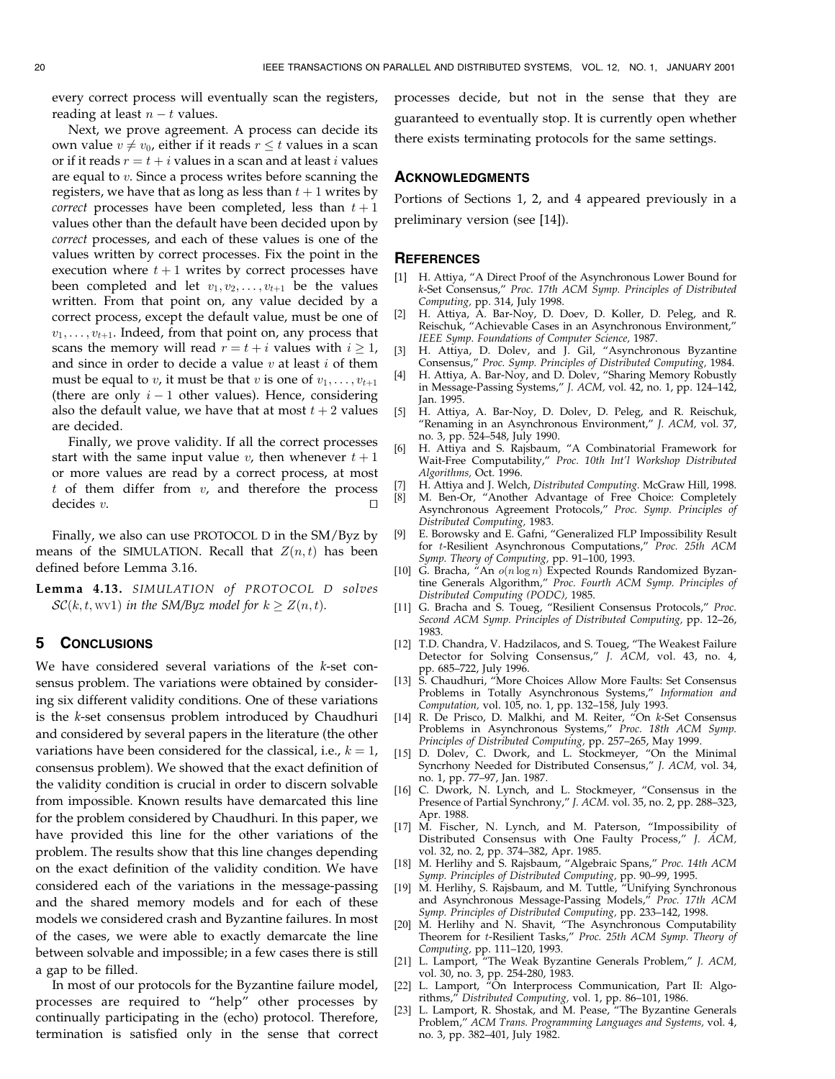every correct process will eventually scan the registers, reading at least  $n - t$  values.

Next, we prove agreement. A process can decide its own value  $v \neq v_0$ , either if it reads  $r \leq t$  values in a scan or if it reads  $r = t + i$  values in a scan and at least i values are equal to v. Since a process writes before scanning the registers, we have that as long as less than  $t + 1$  writes by *correct* processes have been completed, less than  $t + 1$ values other than the default have been decided upon by correct processes, and each of these values is one of the values written by correct processes. Fix the point in the execution where  $t + 1$  writes by correct processes have been completed and let  $v_1, v_2, \ldots, v_{t+1}$  be the values written. From that point on, any value decided by a correct process, except the default value, must be one of  $v_1, \ldots, v_{t+1}$ . Indeed, from that point on, any process that scans the memory will read  $r = t + i$  values with  $i \ge 1$ , and since in order to decide a value  $v$  at least  $i$  of them must be equal to v, it must be that v is one of  $v_1, \ldots, v_{t+1}$ (there are only  $i - 1$  other values). Hence, considering also the default value, we have that at most  $t + 2$  values are decided.

Finally, we prove validity. If all the correct processes start with the same input value v, then whenever  $t + 1$ or more values are read by a correct process, at most  $t$  of them differ from  $v$ , and therefore the process decides  $v$ .

Finally, we also can use PROTOCOL D in the SM/Byz by means of the SIMULATION. Recall that  $Z(n, t)$  has been defined before Lemma 3.16.

Lemma 4.13. SIMULATION of PROTOCOL D solves  $\mathcal{SC}(k, t, \text{wv1})$  in the SM/Byz model for  $k \geq Z(n, t)$ .

# 5 CONCLUSIONS

We have considered several variations of the k-set consensus problem. The variations were obtained by considering six different validity conditions. One of these variations is the k-set consensus problem introduced by Chaudhuri and considered by several papers in the literature (the other variations have been considered for the classical, i.e.,  $k = 1$ , consensus problem). We showed that the exact definition of the validity condition is crucial in order to discern solvable from impossible. Known results have demarcated this line for the problem considered by Chaudhuri. In this paper, we have provided this line for the other variations of the problem. The results show that this line changes depending on the exact definition of the validity condition. We have considered each of the variations in the message-passing and the shared memory models and for each of these models we considered crash and Byzantine failures. In most of the cases, we were able to exactly demarcate the line between solvable and impossible; in a few cases there is still a gap to be filled.

In most of our protocols for the Byzantine failure model, processes are required to "help" other processes by continually participating in the (echo) protocol. Therefore, termination is satisfied only in the sense that correct processes decide, but not in the sense that they are guaranteed to eventually stop. It is currently open whether there exists terminating protocols for the same settings.

# **ACKNOWLEDGMENTS**

Portions of Sections 1, 2, and 4 appeared previously in a preliminary version (see [14]).

#### **REFERENCES**

- [1] H. Attiya, "A Direct Proof of the Asynchronous Lower Bound for k-Set Consensus," Proc. 17th ACM Symp. Principles of Distributed Computing, pp. 314, July 1998.
- [2] H. Attiya, A. Bar-Noy, D. Doev, D. Koller, D. Peleg, and R. Reischuk, "Achievable Cases in an Asynchronous Environment," IEEE Symp. Foundations of Computer Science, 1987.
- [3] H. Attiya, D. Dolev, and J. Gil, ªAsynchronous Byzantine Consensus," Proc. Symp. Principles of Distributed Computing, 1984.
- [4] H. Attiya, A. Bar-Noy, and D. Dolev, "Sharing Memory Robustly in Message-Passing Systems," J. ACM, vol. 42, no. 1, pp. 124-142, Jan. 1995.
- [5] H. Attiya, A. Bar-Noy, D. Dolev, D. Peleg, and R. Reischuk, ªRenaming in an Asynchronous Environment,º J. ACM, vol. 37, no. 3, pp. 524-548, July 1990.
- [6] H. Attiya and S. Rajsbaum, ªA Combinatorial Framework for Wait-Free Computability," Proc. 10th Int'l Workshop Distributed Algorithms, Oct. 1996.
- [7] H. Attiya and J. Welch, Distributed Computing. McGraw Hill, 1998.
- [8] M. Ben-Or, ªAnother Advantage of Free Choice: Completely Asynchronous Agreement Protocols,º Proc. Symp. Principles of Distributed Computing, 1983.
- [9] E. Borowsky and E. Gafni, ªGeneralized FLP Impossibility Result for t-Resilient Asynchronous Computations," Proc. 25th ACM Symp. Theory of Computing, pp. 91-100, 1993.
- [10] G. Bracha, "An  $o(n \log n)$  Expected Rounds Randomized Byzantine Generals Algorithm," Proc. Fourth ACM Symp. Principles of Distributed Computing (PODC), 1985.
- [11] G. Bracha and S. Toueg, "Resilient Consensus Protocols," Proc. Second ACM Symp. Principles of Distributed Computing, pp. 12-26, 1983.
- [12] T.D. Chandra, V. Hadzilacos, and S. Toueg, "The Weakest Failure Detector for Solving Consensus," J. ACM, vol. 43, no. 4, pp. 685±722, July 1996.
- [13] S. Chaudhuri, "More Choices Allow More Faults: Set Consensus Problems in Totally Asynchronous Systems," Information and Computation, vol. 105, no. 1, pp. 132–158, July 1993.
- [14] R. De Prisco, D. Malkhi, and M. Reiter, "On k-Set Consensus Problems in Asynchronous Systems," Proc. 18th ACM Symp. Principles of Distributed Computing, pp. 257–265, May 1999.
- [15] D. Dolev, C. Dwork, and L. Stockmeyer, "On the Minimal Syncrhony Needed for Distributed Consensus," J. ACM, vol. 34, no. 1, pp. 77-97, Jan. 1987.
- [16] C. Dwork, N. Lynch, and L. Stockmeyer, "Consensus in the Presence of Partial Synchrony," J. ACM. vol. 35, no. 2, pp. 288-323, Apr. 1988.
- [17] M. Fischer, N. Lynch, and M. Paterson, "Impossibility of Distributed Consensus with One Faulty Process," J. ACM, vol. 32, no. 2, pp. 374-382, Apr. 1985.
- [18] M. Herlihy and S. Rajsbaum, "Algebraic Spans," Proc. 14th ACM Symp. Principles of Distributed Computing, pp. 90–99, 1995.
- [19] M. Herlihy, S. Rajsbaum, and M. Tuttle, "Unifying Synchronous and Asynchronous Message-Passing Models," Proc. 17th ACM Symp. Principles of Distributed Computing, pp. 233-142, 1998.
- [20] M. Herlihy and N. Shavit, "The Asynchronous Computability Theorem for t-Resilient Tasks," Proc. 25th ACM Symp. Theory of Computing, pp. 111±120, 1993.
- [21] L. Lamport, "The Weak Byzantine Generals Problem," J. ACM, vol. 30, no. 3, pp. 254-280, 1983.
- [22] L. Lamport, ªOn Interprocess Communication, Part II: Algorithms," Distributed Computing, vol. 1, pp. 86-101, 1986.
- L. Lamport, R. Shostak, and M. Pease, "The Byzantine Generals Problem," ACM Trans. Programming Languages and Systems, vol. 4, no. 3, pp. 382-401, July 1982.